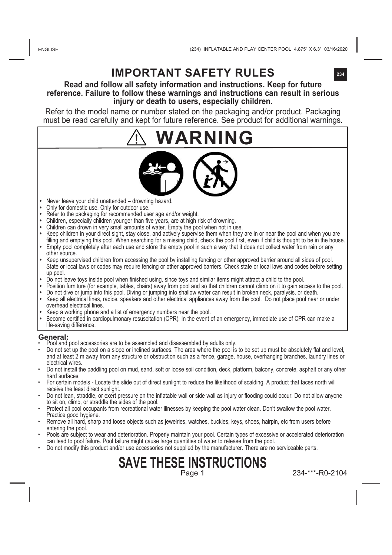# **IMPORTANT SAFETY RULES**

#### **Read and follow all safety information and instructions. Keep for future reference. Failure to follow these warnings and instructions can result in serious injury or death to users, especially children.**

Refer to the model name or number stated on the packaging and/or product. Packaging must be read carefully and kept for future reference. See product for additional warnings.

# **WARNING**



- **•**  Never leave your child unattended drowning hazard.
- **Only for domestic use. Only for outdoor use.**
- **•**  Refer to the packaging for recommended user age and/or weight.
- **•**  Children, especially children younger than five years, are at high risk of drowning.
- Children can drown in very small amounts of water. Empty the pool when not in use.
- Keep children in your direct sight, stay close, and actively supervise them when they are in or hear the pool and when you are<br>filling and emptying this pool. When searching for a missing child, check the pool first, eve • Empty pool completely after each use and store the empty pool in such a way that it does not collect water from rain or any
- other source. **•** Keep unsupervised children from accessing the pool by installing fencing or other approved barrier around all sides of pool.
- State or local laws or codes may require fencing or other approved barriers. Check state or local laws and codes before setting up pool.
- **•** Do not leave toys inside pool when finished using, since toys and similar items might attract a child to the pool.
- **•** Position furniture (for example, tables, chairs) away from pool and so that children cannot climb on it to gain access to the pool. **•** Do not dive or jump into this pool. Diving or jumping into shallow water can result in broken neck, paralysis, or death.
- **•** Keep all electrical lines, radios, speakers and other electrical appliances away from the pool. Do not place pool near or under overhead electrical lines.
- **•** Keep a working phone and a list of emergency numbers near the pool.
- **•** Become certified in cardiopulmonary resuscitation (CPR). In the event of an emergency, immediate use of CPR can make a life-saving difference.

- **General: •** Pool accessories are to be assembled and disassembled by adults only.
- Do not set up the pool on a slope or inclined surfaces. The area where the pool is to be set up must be absolutely flat and level, and at least 2 m away from any structure or obstruction such as a fence, garage, house, overhanging branches, laundry lines or electrical wires.
- Do not install the paddling pool on mud, sand, soft or loose soil condition, deck, platform, balcony, concrete, asphalt or any other hard surfaces.
- For certain models Locate the slide out of direct sunlight to reduce the likelihood of scalding. A product that faces north will receive the least direct sunlight.
- Do not lean, straddle, or exert pressure on the inflatable wall or side wall as injury or flooding could occur. Do not allow anyone to sit on, climb, or straddle the sides of the pool.
- Protect all pool occupants from recreational water illnesses by keeping the pool water clean. Don't swallow the pool water. Practice good hygiene.
- Remove all hard, sharp and loose objects such as jewelries, watches, buckles, keys, shoes, hairpin, etc from users before entering the pool.
- Pools are subject to wear and deterioration. Properly maintain your pool. Certain types of excessive or accelerated deterioration can lead to pool failure. Pool failure might cause large quantities of water to release from the pool.
- Do not modify this product and/or use accessories not supplied by the manufacturer. There are no serviceable parts.

## **SAVE THESE INSTRUCTIONS** Page 1

234-\*\*\*-R0-2104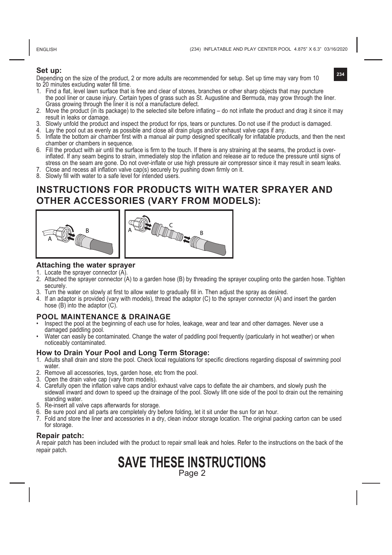ENGLISH

(234) INFLATABLE AND PLAY CENTER POOL 4.875" X 6.3" 03/16/2020

**234**

#### **Set up:**

Depending on the size of the product, 2 or more adults are recommended for setup. Set up time may vary from 10 to 20 minutes excluding water fill time.

- 1. Find a flat, level lawn surface that is free and clear of stones, branches or other sharp objects that may puncture the pool liner or cause injury. Certain types of grass such as St. Augustine and Bermuda, may grow through the liner. Grass growing through the liner it is not a manufacture defect.
- 2. Move the product (in its package) to the selected site before inflating do not inflate the product and drag it since it may result in leaks or damage.
- 3. Slowly unfold the product and inspect the product for rips, tears or punctures. Do not use if the product is damaged.
- 4. Lay the pool out as evenly as possible and close all drain plugs and/or exhaust valve caps if any.
- 5. Inflate the bottom air chamber first with a manual air pump designed specifically for inflatable products, and then the next chamber or chambers in sequence.
- 6. Fill the product with air until the surface is firm to the touch. If there is any straining at the seams, the product is overinflated. If any seam begins to strain, immediately stop the inflation and release air to reduce the pressure until signs of stress on the seam are gone. Do not over-inflate or use high pressure air compressor since it may result in seam leaks.
- Close and recess all inflation valve cap(s) securely by pushing down firmly on it.
- 8. Slowly fill with water to a safe level for intended users.

## **INSTRUCTIONS FOR PRODUCTS WITH WATER SPRAYER AND OTHER ACCESSORIES (VARY FROM MODELS):**



#### **Attaching the water sprayer**

- 1. Locate the sprayer connector (A).
- 2. Attached the sprayer connector (A) to a garden hose (B) by threading the sprayer coupling onto the garden hose. Tighten securely.
- 3. Turn the water on slowly at first to allow water to gradually fill in. Then adjust the spray as desired.
- 4. If an adaptor is provided (vary with models), thread the adaptor (C) to the sprayer connector (A) and insert the garden hose (B) into the adaptor (C).

#### **POOL MAINTENANCE & DRAINAGE**

- Inspect the pool at the beginning of each use for holes, leakage, wear and tear and other damages. Never use a damaged paddling pool.
- Water can easily be contaminated. Change the water of paddling pool frequently (particularly in hot weather) or when noticeably contaminated.

#### **How to Drain Your Pool and Long Term Storage:**

- 1. Adults shall drain and store the pool. Check local regulations for specific directions regarding disposal of swimming pool water
- 2. Remove all accessories, toys, garden hose, etc from the pool.
- 3. Open the drain valve cap (vary from models).
- 4. Carefully open the inflation valve caps and/or exhaust valve caps to deflate the air chambers, and slowly push the sidewall inward and down to speed up the drainage of the pool. Slowly lift one side of the pool to drain out the remaining standing water.
- 5. Re-insert all valve caps afterwards for storage.
- 6. Be sure pool and all parts are completely dry before folding, let it sit under the sun for an hour.
- 7. Fold and store the liner and accessories in a dry, clean indoor storage location. The original packing carton can be used for storage.

#### **Repair patch:**

A repair patch has been included with the product to repair small leak and holes. Refer to the instructions on the back of the repair patch.

# **SAVE THESE INSTRUCTIONS**

Page 2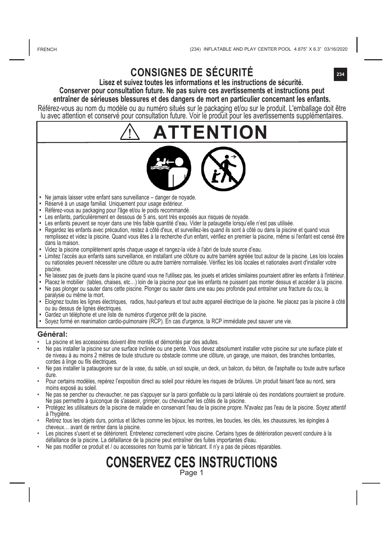ERENCH

**234**

# **CONSIGNES DE SÉCURITÉ**

**Lisez et suivez toutes les informations et les instructions de sécurité. Conserver pour consultation future. Ne pas suivre ces avertissements et instructions peut entraîner de sérieuses blessures et des dangers de mort en particulier concernant les enfants.**

Référez-vous au nom du modèle ou au numéro situés sur le packaging et/ou sur le produit. L'emballage doit être lu avec attention et conservé pour consultation future. Voir le produit pour les avertissements supplémentaires.



- **•**  Ne jamais laisser votre enfant sans surveillance danger de noyade.
- **•** Réservé à un usage familial. Uniquement pour usage extérieur.
- **•**  Référez-vous au packaging pour l'âge et/ou le poids recommandé.
- **•**  Les enfants, particulièrement en dessous de 5 ans, sont très exposés aux risques de noyade.
- Les enfants peuvent se noyer dans une très faible quantité d'eau. Vider la pataugette lorsqu'elle n'est pas utilisée.
- **•** Regardez les enfants avec précaution, restez à côté d'eux, et surveillez-les quand ils sont à côté ou dans la piscine et quand vous remplissez et videz la piscine. Quand vous êtes à la recherche d'un enfant, vérifiez en premier la piscine, même si l'enfant est censé être dans la maison.
- **•**  Videz la piscine complètement après chaque usage et rangez-la vide à l'abri de toute source d'eau.
- **•** Limitez l'accès aux enfants sans surveillance, en installant une clôture ou autre barrière agréée tout autour de la piscine. Les lois locales ou nationales peuvent nécessiter une clôture ou autre barrière normalisée. Vérifiez les lois locales et nationales avant d'installer votre piscine.
- **•** Ne laissez pas de jouets dans la piscine quand vous ne l'utilisez pas, les jouets et articles similaires pourraient attirer les enfants à l'intérieur.
- **•** Placez le mobilier (tables, chaises, etc…) loin de la piscine pour que les enfants ne puissent pas monter dessus et accéder à la piscine. **•** Ne pas plonger ou sauter dans cette piscine. Plonger ou sauter dans une eau peu profonde peut entraîner une fracture du cou, la
- paralysie ou même la mort.
- **•** Eloignez toutes les lignes électriques, radios, haut-parleurs et tout autre appareil électrique de la piscine. Ne placez pas la piscine à côté ou au dessus de lignes électriques.
- 
- Gardez un téléphone et une liste de numéros d'urgence prêt de la piscine.<br>• Soyez formé en reanimation cardio-pulmonaire (RCP). En cas d'urgence, la RCP immédiate peut sauver une vie.

#### **Général:**

- La piscine et les accessoires doivent être montés et démontés par des adultes.
- Ne pas installer la piscine sur une surface inclinée ou une pente. Vous devez absolument installer votre piscine sur une surface plate et de niveau à au moins 2 mètres de toute structure ou obstacle comme une clôture, un garage, une maison, des branches tombantes,<br>cordes à linge ou fils électriques.
- Ne pas installer la pataugeoire sur de la vase, du sable, un sol souple, un deck, un balcon, du béton, de l'asphalte ou toute autre surface dure.
- Pour certains modèles, repérez l'exposition direct au soleil pour réduire les risques de brûlures. Un produit faisant face au nord, sera moins exposé au soleil.
- Ne pas se pencher ou chevaucher, ne pas s'appuyer sur la paroi gonflable ou la paroi latérale où des inondations pourraient se produire. Ne pas permettre à quiconque de s'asseoir, grimper, ou chevaucher les côtés de la piscine.
- Protégez les utilisateurs de la piscine de maladie en conservant l'eau de la piscine propre. N'avalez pas l'eau de la piscine. Soyez attentif
- Retirez tous les objets durs, pointus et lâches comme les bijoux, les montres, les boucles, les clés, les chaussures, les épingles à<br>cheveux... avant de rentrer dans la piscine.
- Les piscines s'usent et se détériorent. Entretenez correctement votre piscine. Certains types de détérioration peuvent conduire à la<br>défaillance de la piscine. La défaillance de la piscine peut entraîner des fuites importa
- Ne pas modifier ce produit et / ou accessoires non fournis par le fabricant. Il n'y a pas de pièces réparables.

# **CONSERVEZ CES INSTRUCTIONS** Page 1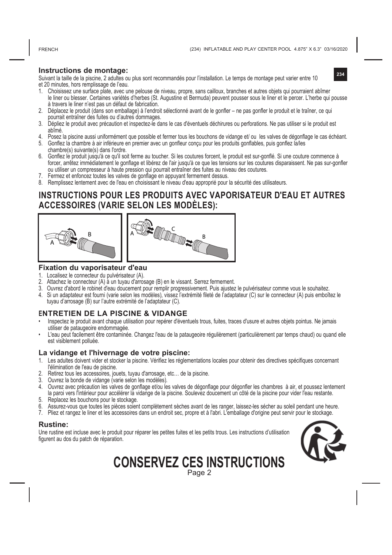FRENCH

**Instructions de montage:**<br>Suivant la taille de la piscine, 2 adultes ou plus sont recommandés pour l'installation. Le temps de montage peut varier entre 10 et 20 minutes, hors remplissage de l'eau.

- 1. Choisissez une surface plate, avec une pelouse de niveau, propre, sans cailloux, branches et autres objets qui pourraient abîmer le liner ou blesser. Certaines variétés d'herbes (St. Augustine et Bermuda) peuvent pousser sous le liner et le percer. L'herbe qui pousse à travers le liner n'est pas un défaut de fabrication.
- 2. Déplacez le produit (dans son emballage) à l'endroit sélectionné avant de le gonfler ne pas gonfler le produit et le traîner, ce qui pourrait entraîner des fuites ou d'autres dommages.
- 3. Dépliez le produit avec précaution et inspectez-le dans le cas d'éventuels déchirures ou perforations. Ne pas utiliser si le produit est abîmé.
- 4. Posez la piscine aussi uniformément que possible et fermer tous les bouchons de vidange et/ ou les valves de dégonflage le cas échéant. 5. Gonflez la chambre à air inférieure en premier avec un gonfleur conçu pour les produits gonflables, puis gonflez la/les
- chambre(s) suivante(s) dans l'ordre. 6. Gonflez le produit jusqu'à ce qu'il soit ferme au toucher. Si les coutures forcent, le produit est sur-gonflé. Si une couture commence à
- forcer, arrêtez immédiatement le gonflage et libérez de l'air jusqu'à ce que les tensions sur les coutures disparaissent. Ne pas sur-gonfler ou utiliser un compresseur à haute pression qui pourrait entraîner des fuites au niveau des coutures.
- 7. Fermez et enfoncez toutes les valves de gonflage en appuyant fermement dessus.
- 8. Remplissez lentement avec de l'eau en choisissant le niveau d'eau approprié pour la sécurité des utilisateurs.

#### **INSTRUCTIONS POUR LES PRODUITS AVEC VAPORISATEUR D'EAU ET AUTRES ACCESSOIRES (VARIE SELON LES MODÈLES):**





#### **Fixation du vaporisateur d'eau**

- 1. Localisez le connecteur du pulvérisateur (A).
- 2. Attachez le connecteur (A) à un tuyau d'arrosage (B) en le vissant. Serrez fermement.
- 3. Ouvrez d'abord le robinet d'eau doucement pour remplir progressivement. Puis ajustez le pulvérisateur comme vous le souhaitez.
- 4. Si un adaptateur est fourni (varie selon les modèles), vissez l'extrémité fileté de l'adaptateur (C) sur le connecteur (A) puis emboîtez le tuyau d'arrosage (B) sur l'autre extrémité de l'adaptateur (C).

#### **ENTRETIEN DE LA PISCINE & VIDANGE**

- Inspectez le produit avant chaque utilisation pour repérer d'éventuels trous, fuites, traces d'usure et autres objets pointus. Ne jamais utiliser de pataugeoire endommagée.
- L'eau peut facilement être contaminée. Changez l'eau de la pataugeoire régulièrement (particulièrement par temps chaud) ou quand elle est visiblement polluée.

#### **La vidange et l'hivernage de votre piscine:**

- 1. Les adultes doivent vider et stocker la piscine. Vérifiez les réglementations locales pour obtenir des directives spécifiques concernant l'élimination de l'eau de piscine.
- 2. Retirez tous les accessoires, jouets, tuyau d'arrosage, etc… de la piscine.
- 3. Ouvrez la bonde de vidange (varie selon les modèles).
- 4. Ouvrez avec précaution les valves de gonflage et/ou les valves de dégonflage pour dégonfler les chambres à air, et poussez lentement

la paroi vers l'intérieur pour accélérer la vidange de la piscine. Soulevez doucement un côté de la piscine pour vider l'eau restante.

- 5. Replacez les bouchons pour le stockage.
- 6. Assurez-vous que toutes les pièces soient complètement sèches avant de les ranger, laissez-les sécher au soleil pendant une heure.
- 7. Pliez et rangez le liner et les accessoires dans un endroit sec, propre et à l'abri. L'emballage d'origine peut servir pour le stockage.

#### **Rustine:**

Une rustine est incluse avec le produit pour réparer les petites fuites et les petits trous. Les instructions d'utilisation figurent au dos du patch de réparation.



Page 2 **CONSERVEZ CES INSTRUCTIONS**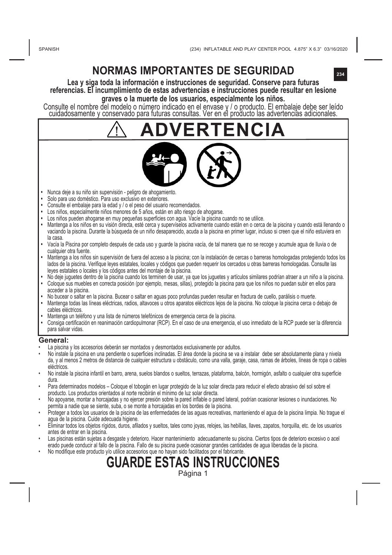SPANISH

**234**

# **NORMAS IMPORTANTES DE SEGURIDAD**

**Lea y siga toda la información e instrucciones de seguridad. Conserve para futuras referencias. El incumplimiento de estas advertencias e instrucciones puede resultar en lesione graves o la muerte de los usuarios, especialmente los niños.**

Consulte el nombre del modelo o número indicado en el envase y / o producto. El embalaje debe ser leído cuidadosamente y conservado para futuras consultas. Ver en el producto las advertencias adicionales.

# **ADVERTENCIA**

- 
- Nunca deje a su niño sin supervisión peligro de ahogamiento. **•**  Solo para uso doméstico. Para uso exclusivo en exteriores.
- **•**  Consulte el embalaje para la edad y / o el peso del usuario recomendados.
- **•**  Los niños, especialmente niños menores de 5 años, están en alto riesgo de ahogarse.
- 
- **•**  Los niños pueden ahogarse en muy pequeñas superficies con agua. Vacíe la piscina cuando no se utilice. **•**  Mantenga a los niños en su visión directa, esté cerca y supervíselos activamente cuando están en o cerca de la piscina y cuando está llenando o vaciando la piscina. Durante la búsqueda de un niño desaparecido, acuda a la piscina en primer lugar, incluso si creen que el niño estuviera en la casa.
- **•**  Vacía la Piscina por completo después de cada uso y guarde la piscina vacía, de tal manera que no se recoge y acumule agua de lluvia o de cualquier otra fuente.
- **•** Mantenga a los niños sin supervisión de fuera del acceso a la piscina; con la instalación de cercas o barreras homologadas protegiendo todos los lados de la piscina. Verifique leyes estatales, locales y códigos que pueden requerir los cercados u otras barreras homologadas. Consulte las leyes estatales o locales y los códigos antes del montaje de la piscina.
- **•** No deje juguetes dentro de la piscina cuando los terminen de usar, ya que los juguetes y artículos similares podrían atraer a un niño a la piscina. **•** Coloque sus muebles en correcta posición (por ejemplo, mesas, sillas), protegido la piscina para que los niños no puedan subir en ellos para acceder a la piscina.
- **•** No bucear o saltar en la piscina. Bucear o saltar en aguas poco profundas pueden resultar en fractura de cuello, parálisis o muerte.
- **•** Mantenga todas las líneas eléctricas, radios, altavoces u otros aparatos eléctricos lejos de la piscina. No coloque la piscina cerca o debajo de cables eléctricos.
- **•** Mantenga un teléfono y una lista de números telefónicos de emergencia cerca de la piscina.
- **•** Consiga certificación en reanimación cardiopulmonar (RCP). En el caso de una emergencia, el uso inmediato de la RCP puede ser la diferencia para salvar vidas.

#### **General:**

- La piscina y los accesorios deberán ser montados y desmontados exclusivamente por adultos.
- No instale la piscina en una pendiente o superficies inclinadas. El área donde la piscina se va a instalar debe ser absolutamente plana y nivela da, y al menos 2 metros de distancia de cualquier estructura u obstáculo, como una valla, garaje, casa, ramas de árboles, líneas de ropa o cables eléctricos.
- No instale la piscina infantil en barro, arena, suelos blandos o sueltos, terrazas, plataforma, balcón, hormigón, asfalto o cualquier otra superficie dura.
- Para determinados modelos Coloque el tobogán en lugar protegido de la luz solar directa para reducir el efecto abrasivo del sol sobre el producto. Los productos orientados al norte recibirán el mínimo de luz solar directa.
- No apoyarse, montar a horcajadas y no ejercer presión sobre la pared inflable o pared lateral, podrían ocasionar lesiones o inundaciones. No permita a nadie que se siente, suba, o se monte a horcajadas en los bordes de la piscina.
- Proteger a todos los usuarios de la piscina de las enfermedades de las aguas recreativas, manteniendo el agua de la piscina limpia. No trague el agua de la piscina. Cuide adecuada higiene.
- Eliminar todos los objetos rígidos, duros, afilados y sueltos, tales como joyas, relojes, las hebillas, llaves, zapatos, horquilla, etc. de los usuarios antes de entrar en la piscina.
- Las piscinas están sujetas a desgaste y deterioro. Hacer mantenimiento adecuadamente su piscina. Ciertos tipos de deterioro excesivo o acel erado puede conducir al fallo de la piscina. Fallo de su piscina puede ocasionar grandes cantidades de agua liberadas de la piscina.
	- No modifique este producto y/o utilice accesorios que no hayan sido facilitados por el fabricante.

# **GUARDE ESTAS INSTRUCCIONES**

Página 1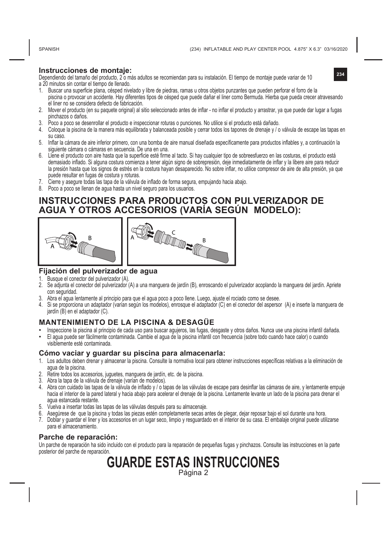SPANISH

**Instrucciones de montaje:**<br>Dependiendo del tamaño del producto, 2 o más adultos se recomiendan para su instalación. El tiempo de montaje puede variar de 10 **234** a 20 minutos sin contar el tiempo de llenado.

- 1. Buscar una superficie plana, césped nivelado y libre de piedras, ramas u otros objetos punzantes que pueden perforar el forro de la piscina o provocar un accidente. Hay diferentes tipos de césped que puede dañar el liner como Bermuda. Hierba que pueda crecer atravesando el liner no se considera defecto de fabricación.
- 2. Mover el producto (en su paquete original) al sitio seleccionado antes de inflar no inflar el producto y arrastrar, ya que puede dar lugar a fugas pinchazos o daños.
- 3. Poco a poco se desenrollar el producto e inspeccionar roturas o punciones. No utilice si el producto está dañado.
- 4. Coloque la piscina de la manera más equilibrada y balanceada posible y cerrar todos los tapones de drenaje y / o válvula de escape las tapas en su caso.
- 5. Inflar la cámara de aire inferior primero, con una bomba de aire manual diseñada específicamente para productos inflables y, a continuación la siguiente cámara o cámaras en secuencia. De una en una.
- 6. Llene el producto con aire hasta que la superficie esté firme al tacto. Si hay cualquier tipo de sobreesfuerzo en las costuras, el producto está demasiado inflado. Si alguna costura comienza a tener algún signo de sobrepresión, deje inmediatamente de inflar y la libere aire para reducir la presión hasta que los signos de estrés en la costura hayan desaparecido. No sobre inflar, no utilice compresor de aire de alta presión, ya que puede resultar en fugas de costura y roturas.
- 7. Cierre y asegure todas las tapa de la válvula de inflado de forma segura, empujando hacia abajo.
- 8. Poco a poco se llenan de agua hasta un nivel seguro para los usuarios.

#### **INSTRUCCIONES PARA PRODUCTOS CON PULVERIZADOR DE AGUA Y OTROS ACCESORIOS (VARÍA SEGÚN MODELO):**



#### **Fijación del pulverizador de agua**

- Busque el conector del pulverizador (A)
- 2. Se adjunta el conector del pulverizador (A) a una manguera de jardín (B), enroscando el pulverizador acoplando la manguera del jardín. Apriete con seguridad.
- 3. Abra el agua lentamente al principio para que el agua poco a poco llene. Luego, ajuste el rociado como se desee.
- 4. Si se proporciona un adaptador (varían según los modelos), enrosque el adaptador (C) en el conector del aspersor (A) e inserte la manguera de jardín (B) en el adaptador (C).

#### **MANTENIMIENTO DE LA PISCINA & DESAGÜE**

• Inspeccione la piscina al principio de cada uso para buscar agujeros, las fugas, desgaste y otros daños. Nunca use una piscina infantil dañada. • El agua puede ser fácilmente contaminada. Cambie el agua de la piscina infantil con frecuencia (sobre todo cuando hace calor) o cuando visiblemente esté contaminada.

#### **Cómo vaciar y guardar su piscina para almacenarla:**

- 1. Los adultos deben drenar y almacenar la piscina. Consulte la normativa local para obtener instrucciones específicas relativas a la eliminación de agua de la piscina.
- 2. Retire todos los accesorios, juguetes, manguera de jardín, etc. de la piscina.
- 3. Abra la tapa de la válvula de drenaje (varían de modelos).
- 4. Abra con cuidado las tapas de la válvula de inflado y / o tapas de las válvulas de escape para desinflar las cámaras de aire, y lentamente empuje hacia el interior de la pared lateral y hacia abajo para acelerar el drenaje de la piscina. Lentamente levante un lado de la piscina para drenar el agua estancada restante.
- 5. Vuelva a insertar todas las tapas de las válvulas después para su almacenaje.
- 6. Asegúrese de que la piscina y todas las piezas estén completamente secas antes de plegar, dejar reposar bajo el sol durante una hora.
- 7. Doblar y guardar el liner y los accesorios en un lugar seco, limpio y resguardado en el interior de su casa. El embalaje original puede utilizarse para el almacenamiento.

#### **Parche de reparación:**

Un parche de reparación ha sido incluido con el producto para la reparación de pequeñas fugas y pinchazos. Consulte las instrucciones en la parte posterior del parche de reparación.

#### **GUARDE ESTAS INSTRUCCIONES** Página 2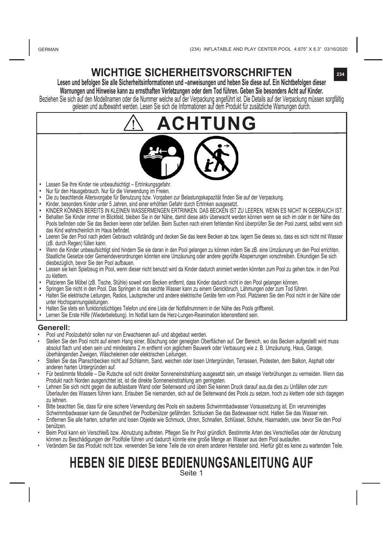# **WICHTIGE SICHERHEITSVORSCHRIFTEN <sup>234</sup>**

**Lesen und befolgen Sie alle Sicherheitsinformationen und –anweisungen und heben Sie diese auf. Ein Nichtbefolgen dieser Warnungen und Hinweise kann zu ernsthaften Verletzungen oder dem Tod führen. Geben Sie besonders Acht auf Kinder.**

gelesen und aufbewahrt werden. Lesen Sie sich die Informationen auf dem Produkt für zusätzliche Warnungen durch.

# **ACHTUNG**

- **•**  Lassen Sie Ihre Kinder nie unbeaufsichtigt Ertrinkungsgefahr.
- **•**  Nur für den Hausgebrauch. Nur für die Verwendung im Freien.
- **•**  Die zu beachtende Altersvorgabe für Benutzung bzw. Vorgaben zur Belastungskapazität finden Sie auf der Verpackung.
- **•**  Kinder, besonders Kinder unter 5 Jahren, sind einer erhöhten Gefahr durch Ertrinken ausgesetzt.
- **•**  KINDER KÖNNEN BEREITS IN KLEINEN WASSERMENGEN ERTRINKEN. DAS BECKEN IST ZU LEEREN, WENN ES NICHT IN GEBRAUCH IST.
- **•**  Behalten Sie Kinder immer im Blickfeld, bleiben Sie in der Nähe, damit diese aktiv überwacht werden können wenn sie sich im oder in der Nähe des Pools befinden oder Sie das Becken leeren oder befüllen. Beim Suchen nach einem fehlenden Kind überprüfen Sie den Pool zuerst, selbst wenn sich das Kind wahrscheinlich im Haus befindet.
- **•**  Leeren Sie den Pool nach jedem Gebrauch vollständig und decken Sie das leere Becken ab bzw. lagern Sie dieses so, dass es sich nicht mit Wasser (zB. durch Regen) füllen kann.
- **•** Wenn die Kinder unbeaufsichtigt sind hindern Sie sie daran in den Pool gelangen zu können indem Sie zB. eine Umzäunung um den Pool errichten. Staatliche Gesetze oder Gemeindeverordnungen könnten eine Umzäunung oder andere geprüfte Absperrungen vorschreiben. Erkundigen Sie sich diesbezüglich, bevor Sie den Pool aufbauen.
- **•** Lassen sie kein Spielzeug im Pool, wenn dieser nicht benutzt wird da Kinder dadurch animiert werden könnten zum Pool zu gehen bzw. in den Pool zu klettern.
- **•** Platzieren Sie Möbel (zB. Tische, Stühle) soweit vom Becken entfernt, dass Kinder dadurch nicht in den Pool gelangen können.
- 
- Springen Sie nicht in den Pool. Das Springen in das seichte wasser kann zu einem Genickbrüch, Lahmungen oder zum Tod führen.<br>• Halten Sie elektrische Leitungen, Radios, Lautsprecher und andere elektrische Geräte fern vom unter Hochspannungsleitungen.
- **•** Halten Sie stets ein funktionstüchtiges Telefon und eine Liste der Notfallnummern in der Nähe des Pools griffbereit.
- **•** Lernen Sie Erste Hilfe (Wiederbelebung). Im Notfall kann die Herz-Lungen-Reanimation lebensrettend sein.

#### **Generell:**

- Pool und Poolzubehör sollen nur von Erwachsenen auf- und abgebaut werden.
- Stellen Sie den Pool nicht auf einem Hang einer, Böschung oder geneigten Oberflächen auf. Der Bereich, wo das Becken aufgestellt wird muss absolut flach und eben sein und mindestens 2 m entfernt von jeglichem Bauwerk oder Verbauung wie z. B. Umzäunung, Haus, Garage, überhängenden Zweigen, Wäscheleinen oder elektrischen Leitungen.
- Stellen Sie das Planschbecken nicht auf Schlamm, Sand, weichen oder losen Untergründen, Terrassen, Podesten, dem Balkon, Asphalt oder anderen harten Untergründen auf.
- Für bestimmte Modelle Die Rutsche soll nicht direkter Sonneneinstrahlung ausgesetzt sein, um etwaige Verbrühungen zu vermeiden. Wenn das Produkt nach Norden ausgerichtet ist, ist die direkte Sonneneinstrahlung am geringsten.
- Lehnen Sie sich nicht gegen die aufblasbare Wand oder Seitenwand und üben Sie keinen Druck darauf aus,da dies zu Unfällen oder zum Überlaufen des Wassers führen kann. Erlauben Sie niemanden, sich auf die Seitenwand des Pools zu setzen, hoch zu klettern oder sich dagegen zu lehnen.
- Bitte beachten Sie, dass für eine sichere Verwendung des Pools ein sauberes Schwimmbadwasser Voraussetzung ist. Ein verunreinigtes Schwimmbadwasser kann die Gesundheit der Poolbenützer gefährden. Schlucken Sie das Badewasser nicht. Halten Sie das Wasser rein.
- Entfernen Sie alle harten, scharfen und losen Objekte wie Schmuck, Uhren, Schnallen, Schlüssel, Schuhe, Haarnadeln, usw. bevor Sie den Pool benützen.
- Beim Pool kann ein Verschleiß bzw. Abnutzung auftreten. Pflegen Sie Ihr Pool gründlich. Bestimmte Arten des Verschleißes oder der Abnutzung können zu Beschädigungen der Poolfolie führen und dadurch könnte eine große Menge an Wasser aus dem Pool auslaufen.
- Verändern Sie das Produkt nicht bzw. verwenden Sie keine Teile die von einem anderen Hersteller sind. Hierfür gibt es keine zu wartenden Teile.

# **HEBEN SIE DIESE BEDIENUNGSANLEITUNG AUF**

Seite 1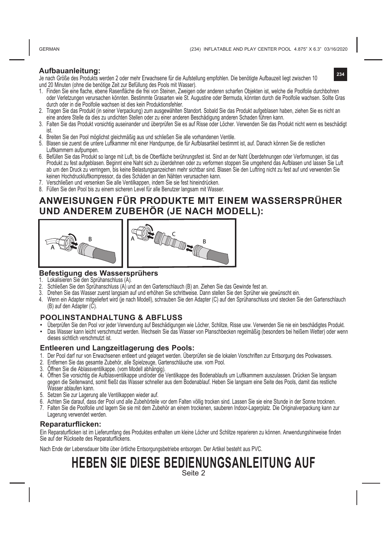GERMAN

**234**

#### **Aufbauanleitung:**

Je nach Größe des Produkts werden 2 oder mehr Erwachsene für die Aufstellung empfohlen. Die benötigte Aufbauzeit liegt zwischen 10 und 20 Minuten (ohne die benötige Zeit zur Befüllung des Pools mit Wasser).

- 1. Finden Sie eine flache, ebene Rasenfläche die frei von Steinen, Zweigen oder anderen scharfen Objekten ist, welche die Poolfolie durchbohren oder Verletzungen verursachen könnten. Bestimmte Grasarten wie St. Augustine oder Bermuda, könnten durch die Poolfolie wachsen. Sollte Gras durch oder in die Poolfolie wachsen ist dies kein Produktionsfehler.
- 2. Tragen Sie das Produkt (in seiner Verpackung) zum ausgewählten Standort. Sobald Sie das Produkt aufgeblasen haben, ziehen Sie es nicht an eine andere Stelle da dies zu undichten Stellen oder zu einer anderen Beschädigung anderen Schaden führen kann.
- 3. Falten Sie das Produkt vorsichtig auseinander und überprüfen Sie es auf Risse oder Löcher. Verwenden Sie das Produkt nicht wenn es beschädigt
- ist. 4. Breiten Sie den Pool möglichst gleichmäßig aus und schließen Sie alle vorhandenen Ventile.
- 5. Blasen sie zuerst die untere Luftkammer mit einer Handpumpe, die für Aufblasartikel bestimmt ist, auf. Danach können Sie die restlichen Luftkammern aufpumpen.
- 6. Befüllen Sie das Produkt so lange mit Luft, bis die Oberfläche berührungsfest ist. Sind an der Naht Überdehnungen oder Verformungen, ist das Produkt zu fest aufgeblasen. Beginnt eine Naht sich zu überdehnen oder zu verformen stoppen Sie umgehend das Aufblasen und lassen Sie Luft ab um den Druck zu verringern, bis keine Belastungsanzeichen mehr sichtbar sind. Blasen Sie den Luftring nicht zu fest auf und verwenden Sie keinen Hochdruckluftkompressor, da dies Schäden an den Nähten verursachen kann.
- 7. Verschließen und versenken Sie alle Ventilkappen, indem Sie sie fest hineindrücken.
- 8. Füllen Sie den Pool bis zu einem sicheren Level für alle Benutzer langsam mit Wasser.

## **ANWEISUNGEN FÜR PRODUKTE MIT EINEM WASSERSPRÜHER UND ANDEREM ZUBEHÖR (JE NACH MODELL):**



#### **Befestigung des Wassersprühers**

- 1. Lokalisieren Sie den Sprühanschluss (A).<br>2. Schließen Sie den Sprühanschluss (A).
- 2. Schließen Sie den Sprühanschluss (A) und an den Gartenschlauch (B) an. Ziehen Sie das Gewinde fest an.
- 3. Drehen Sie das Wasser zuerst langsam auf und erhöhen Sie schrittweise. Dann stellen Sie den Sprüher wie gewünscht ein.
- 4. Wenn ein Adapter mitgeliefert wird (je nach Modell), schrauben Sie den Adapter (C) auf den Sprühanschluss und stecken Sie den Gartenschlauch (B) auf den Adapter (C).

#### **POOLINSTANDHALTUNG & ABFLUSS**

- Überprüfen Sie den Pool vor jeder Verwendung auf Beschädigungen wie Löcher, Schlitze, Risse usw. Verwenden Sie nie ein beschädigtes Produkt.
- Das Wasser kann leicht verschmutzt werden. Wechseln Sie das Wasser von Planschbecken regelmäßig (besonders bei heißem Wetter) oder wenn dieses sichtlich verschmutzt ist.

#### **Entleeren und Langzeitlagerung des Pools:**

- 1. Der Pool darf nur von Erwachsenen entleert und gelagert werden. Überprüfen sie die lokalen Vorschriften zur Entsorgung des Poolwassers.
- 2. Entfernen Sie das gesamte Zubehör, alle Spielzeuge, Gartenschläuche usw. vom Pool.
- 3. Öffnen Sie die Ablassventilkappe. (vom Modell abhängig).
- 4. Öffnen Sie vorsichtig die Aufblasventilkappe und/oder die Ventilkappe des Bodenablaufs um Luftkammern auszulassen. Drücken Sie langsam gegen die Seitenwand, somit fließt das Wasser schneller aus dem Bodenablauf. Heben Sie langsam eine Seite des Pools, damit das restliche Wasser ablaufen kann.
- 5. Setzen Sie zur Lagerung alle Ventilkappen wieder auf.
- 6. Achten Sie darauf, dass der Pool und alle Zubehörteile vor dem Falten völlig trocken sind. Lassen Sie sie eine Stunde in der Sonne trocknen.
- 7. Falten Sie die Poolfolie und lagern Sie sie mit dem Zubehör an einem trockenen, sauberen Indoor-Lagerplatz. Die Originalverpackung kann zur Lagerung verwendet werden.

#### **Reparaturflicken:**

Ein Reparaturflicken ist im Lieferumfang des Produktes enthalten um kleine Löcher und Schlitze reparieren zu können. Anwendungshinweise finden Sie auf der Rückseite des Reparaturflickens.

Nach Ende der Lebensdauer bitte über örtliche Entsorgungsbetriebe entsorgen. Der Artikel besteht aus PVC.

# **HEBEN SIE DIESE BEDIENUNGSANLEITUNG AUF**

Seite 2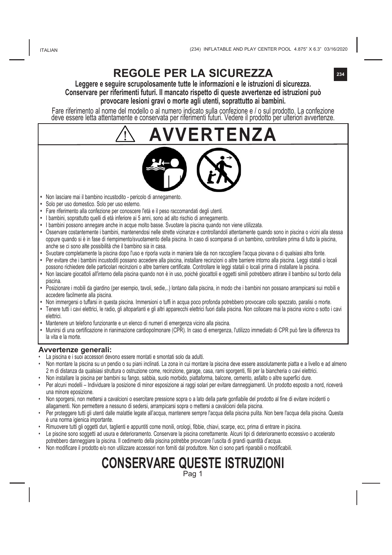# **REGOLE PER LA SICUREZZA**

#### **Leggere e seguire scrupolosamente tutte le informazioni e le istruzioni di sicurezza. Conservare per riferimenti futuri. Il mancato rispetto di queste avvertenze ed istruzioni può provocare lesioni gravi o morte agli utenti, soprattutto ai bambini.**

Fare riferimento al nome del modello o al numero indicato sulla confezione e / o sul prodotto. La confezione deve essere letta attentamente e conservata per riferimenti futuri. Vedere il prodotto per ulteriori avvertenze.

**AVVERTENZA**

- **•**  Non lasciare mai il bambino incustodito pericolo di annegamento.
- **•**  Solo per uso domestico. Solo per uso esterno.
- **•**  Fare riferimento alla confezione per conoscere l'età e il peso raccomandati degli utenti.
- **•** I bambini, soprattutto quelli di età inferiore ai 5 anni, sono ad alto rischio di annegamento.
- **•**  I bambini possono annegare anche in acque molto basse. Svuotare la piscina quando non viene utilizzata.
- **•**  Osservare costantemente i bambini, mantenendosi nelle strette vicinanze e controllandoli attentamente quando sono in piscina o vicini alla stessa oppure quando si è in fase di riempimento/svuotamento della piscina. In caso di scomparsa di un bambino, controllare prima di tutto la piscina, anche se ci sono alte possibilità che il bambino sia in casa.
- **•**  Svuotare completamente la piscina dopo l'uso e riporla vuota in maniera tale da non raccogliere l'acqua piovana o di qualsiasi altra fonte.
- **•** Per evitare che i bambini incustoditi possano accedere alla piscina, installare recinzioni o altre barriere intorno alla piscina. Leggi statali o locali possono richiedere delle particolari recinzioni o altre barriere certificate. Controllare le leggi statali o locali prima di installare la piscina.
- **•** Non lasciare giocattoli all'interno della piscina quando non è in uso, poiché giocattoli e oggetti simili potrebbero attirare il bambino sul bordo della piscina.
- **•** Posizionare i mobili da giardino (per esempio, tavoli, sedie,..) lontano dalla piscina, in modo che i bambini non possano arrampicarsi sui mobili e accedere facilmente alla piscina.
- Non immergersi o tuffarsi in questa piscina. Immersioni o tuffi in acqua poco profonda potrebbero provocare collo spezzato, paralisi o morte.
- **•** Tenere tutti i cavi elettrici, le radio, gli altoparlanti e gli altri apparecchi elettrici fuori dalla piscina. Non collocare mai la piscina vicino o sotto i cavi elettrici.
- **•** Mantenere un telefono funzionante e un elenco di numeri di emergenza vicino alla piscina.
- **•** Munirsi di una certificazione in rianimazione cardiopolmonare (CPR). In caso di emergenza, l'utilizzo immediato di CPR può fare la differenza tra la vita e la morte.

#### **Avvertenze generali:**

- La piscina e i suoi accessori devono essere montati e smontati solo da adulti.
- Non montare la piscina su un pendio o su piani inclinati. La zona in cui montare la piscina deve essere assolutamente piatta e a livello e ad almeno 2 m di distanza da qualsiasi struttura o ostruzione come, recinzione, garage, casa, rami sporgenti, fili per la biancheria o cavi elettrici.
- Non installare la piscina per bambini su fango, sabbia, suolo morbido, piattaforma, balcone, cemento, asfalto o altre superfici dure.
- Per alcuni modelli Individuare la posizione di minor esposizione ai raggi solari per evitare danneggiamenti. Un prodotto esposto a nord, riceverà una minore eposizione.
- Non sporgersi, non mettersi a cavalcioni o esercitare pressione sopra o a lato della parte gonfiabile del prodotto al fine di evitare incidenti o allagamenti. Non permettere a nessuno di sedersi, arrampicarsi sopra o mettersi a cavalcioni della piscina.
- Per proteggere tutti gli utenti dalle malattie legate all'acqua, mantenere sempre l'acqua della piscina pulita. Non bere l'acqua della piscina. Questa è una norma igienica importante.
- Rimuovere tutti gli oggetti duri, taglienti e appuntiti come monili, orologi, fibbie, chiavi, scarpe, ecc, prima di entrare in piscina.
- Le piscine sono soggetti ad usura e deterioramento. Conservare la piscina correttamente. Alcuni tipi di deterioramento eccessivo o accelerato potrebbero danneggiare la piscina. Il cedimento della piscina potrebbe provocare l'uscita di grandi quantità d'acqua.
- Non modificare il prodotto e/o non utilizzare accessori non forniti dal produttore. Non ci sono parti riparabili o modificabili.

# **CONSERVARE QUESTE ISTRUZIONI**

Pag 1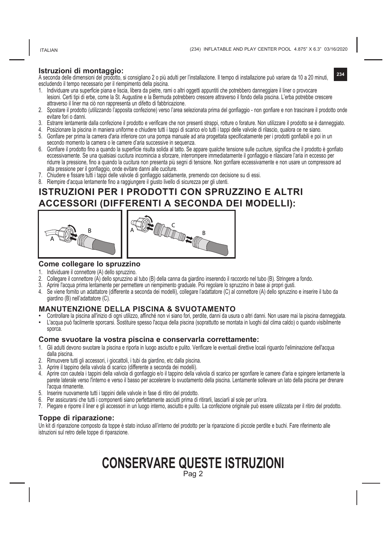ITALIAN

**234**

#### **Istruzioni di montaggio:**

A seconda delle dimensioni del prodotto, si consigliano 2 o più adulti per l'installazione. Il tempo di installazione può variare da 10 a 20 minuti, escludendo il tempo necessario per il riempimento della piscina.

- 1. Individuare una superficie piana e liscia, libera da pietre, rami o altri oggetti appuntiti che potrebbero danneggiare il liner o provocare lesioni. Certi tipi di erbe, come la St. Augustine e la Bermuda potrebbero crescere attraverso il fondo della piscina. L'erba potrebbe crescere attraverso il liner ma ciò non rappresenta un difetto di fabbricazione.
- 2. Spostare il prodotto (utilizzando l'apposita confezione) verso l'area selezionata prima del gonfiaggio non gonfiare e non trascinare il prodotto onde evitare fori o danni.
- 3. Estrarre lentamente dalla confezione il prodotto e verificare che non presenti strappi, rotture o forature. Non utilizzare il prodotto se è danneggiato.
- 4. Posizionare la piscina in maniera uniforme e chiudere tutti i tappi di scarico e/o tutti i tappi delle valvole di rilascio, qualora ce ne siano.
- 5. Gonfiare per prima la camera d'aria inferiore con una pompa manuale ad aria progettata specificatamente per i prodotti gonfiabili e poi in un secondo momento la camera o le camere d'aria successive in sequenza.
- 6. Gonfiare il prodotto fino a quando la superficie risulta solida al tatto. Se appare qualche tensione sulle cuciture, significa che il prodotto è gonfiato eccessivamente. Se una qualsiasi cucitura incomincia a sforzare, interrompere immediatamente il gonfiaggio e rilasciare l'aria in eccesso per ridurre la pressione, fino a quando la cucitura non presenta più segni di tensione. Non gonfiare eccessivamente e non usare un compressore ad alta pressione per il gonfiaggio, onde evitare danni alle cuciture.
- 7. Chiudere e fissare tutti i tappi delle valvole di gonfiaggio saldamente, premendo con decisione su di essi.
- 8. Riempire d'acqua lentamente fino a raggiungere il giusto livello di sicurezza per gli utenti.

## **ISTRUZIONI PER I PRODOTTI CON SPRUZZINO E ALTRI ACCESSORI (DIFFERENTI A SECONDA DEI MODELLI):**





#### **Come collegare lo spruzzino**

- 1. Individuare il connettore (A) dello spruzzino.
- 2. Collegare il connettore (A) dello spruzzino al tubo (B) della canna da giardino inserendo il raccordo nel tubo (B). Stringere a fondo.
- 3. Aprire l'acqua prima lentamente per permettere un riempimento graduale. Poi regolare lo spruzzino in base ai propri gusti.
- 4. Se viene fornito un adattatore (differente a seconda dei modelli), collegare l'adattatore (C) al connettore (A) dello spruzzino e inserire il tubo da giardino (B) nell'adattatore (C).

#### **MANUTENZIONE DELLA PISCINA & SVUOTAMENTO**

- Controllare la piscina all'inizio di ogni utilizzo, affinché non vi siano fori, perdite, danni da usura o altri danni. Non usare mai la piscina danneggiata.<br>• L'acqua può facilmente sporcarsi. Sostituire spesso l'a
- sporca.

#### **Come svuotare la vostra piscina e conservarla correttamente:**

- 1. Gli adulti devono svuotare la piscina e riporla in luogo asciutto e pulito. Verificare le eventuali direttive locali riguardo l'eliminazione dell'acqua dalla piscina.
- 2. Rimuovere tutti gli accessori, i giocattoli, i tubi da giardino, etc dalla piscina.
- 3. Aprire il tappino della valvola di scarico (differente a seconda dei modelli).
- 4. Aprire con cautela i tappini della valvola di gonfiaggio e/o il tappino della valvola di scarico per sgonfiare le camere d'aria e spingere lentamente la parete laterale verso l'interno e verso il basso per accelerare lo svuotamento della piscina. Lentamente sollevare un lato della piscina per drenare l'acqua rimanente.
- 5. Inserire nuovamente tutti i tappini delle valvole in fase di ritiro del prodotto.
- 6. Per assicurarsi che tutti i componenti siano perfettamente asciutti prima di ritirarli, lasciarli al sole per un'ora.
- 7. Piegare e riporre il liner e gli accessori in un luogo interno, asciutto e pulito. La confezione originale può essere utilizzata per il ritiro del prodotto.

#### **Toppe di riparazione:**

Un kit di riparazione composto da toppe è stato incluso all'interno del prodotto per la riparazione di piccole perdite e buchi. Fare riferimento alle istruzioni sul retro delle toppe di riparazione.

## **CONSERVARE QUESTE ISTRUZIONI** Pag 2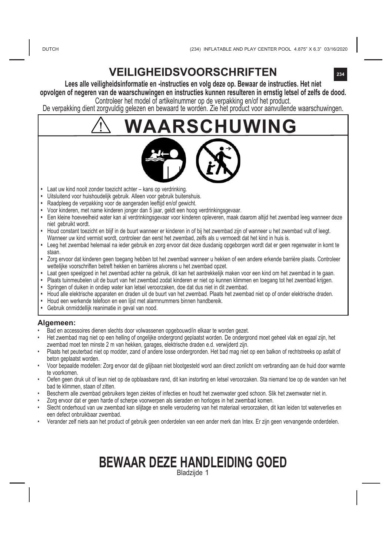# **VEILIGHEIDSVOORSCHRIFTEN**

**Lees alle veiligheidsinformatie en -instructies en volg deze op. Bewaar de instructies. Het niet opvolgen of negeren van de waarschuwingen en instructies kunnen resulteren in ernstig letsel of zelfs de dood.**  Controleer het model of artikelnummer op de verpakking en/of het product.

De verpakking dient zorgvuldig gelezen en bewaard te worden. Zie het product voor aanvullende waarschuwingen.

# **WAARSCHUWING**



- **•**  Laat uw kind nooit zonder toezicht achter kans op verdrinking.
- **•**  Uitsluitend voor huishoudelijk gebruik. Alleen voor gebruik buitenshuis.
- **•**  Raadpleeg de verpakking voor de aangeraden leeftijd en/of gewicht.
- **•**  Voor kinderen, met name kinderen jonger dan 5 jaar, geldt een hoog verdrinkingsgevaar.
- **•**  Een kleine hoeveelheid water kan al verdrinkingsgevaar voor kinderen opleveren, maak daarom altijd het zwembad leeg wanneer deze niet gebruikt wordt.
- **•** Houd constant toezicht en blijf in de buurt wanneer er kinderen in of bij het zwembad zijn of wanneer u het zwembad vult of leegt. Wanneer uw kind vermist wordt, controleer dan eerst het zwembad, zelfs als u vermoedt dat het kind in huis is.
- **•**  Leeg het zwembad helemaal na ieder gebruik en zorg ervoor dat deze dusdanig opgeborgen wordt dat er geen regenwater in komt te staan.
- **•** Zorg ervoor dat kinderen geen toegang hebben tot het zwembad wanneer u hekken of een andere erkende barrière plaats. Controleer wettelijke voorschriften betreft hekken en barrières alvorens u het zwembad opzet.
- **•** Laat geen speelgoed in het zwembad achter na gebruik, dit kan het aantrekkelijk maken voor een kind om het zwembad in te gaan.
- **•** Plaats tuinmeubelen uit de buurt van het zwembad zodat kinderen er niet op kunnen klimmen en toegang tot het zwembad krijgen.
- **•** Springen of duiken in ondiep water kan letsel veroorzaken, doe dat dus niet in dit zwembad.
- **•** Houd alle elektrische apparaten en draden uit de buurt van het zwembad. Plaats het zwembad niet op of onder elektrische draden.
- **•** Houd een werkende telefoon en een lijst met alarmnummers binnen handbereik.
- **•** Gebruik onmiddellijk reanimatie in geval van nood.

#### **Algemeen:**

- Bad en accessoires dienen slechts door volwassenen opgebouwd/in elkaar te worden gezet.
- Het zwembad mag niet op een helling of ongelijke ondergrond geplaatst worden. De ondergrond moet geheel vlak en egaal zijn, het zwembad moet ten minste 2 m van hekken, garages, elektrische draden e.d. verwijderd zijn.
- Plaats het peuterbad niet op modder, zand of andere losse ondergronden. Het bad mag niet op een balkon of rechtstreeks op asfalt of beton geplaatst worden.
- Voor bepaalde modellen: Zorg ervoor dat de glijbaan niet blootgesteld word aan direct zonlicht om verbranding aan de huid door warmte te voorkomen.
- Oefen geen druk uit of leun niet op de opblaasbare rand, dit kan instorting en letsel veroorzaken. Sta niemand toe op de wanden van het bad te klimmen, staan of zitten.
- Bescherm alle zwembad gebruikers tegen ziektes of infecties en houdt het zwemwater goed schoon. Slik het zwemwater niet in.
- Zorg ervoor dat er geen harde of scherpe voorwerpen als sieraden en horloges in het zwembad komen.
- Slecht onderhoud van uw zwembad kan slijtage en snelle veroudering van het materiaal veroorzaken, dit kan leiden tot waterverlies en een defect onbruikbaar zwembad.
- Verander zelf niets aan het product of gebruik geen onderdelen van een ander merk dan Intex. Er zijn geen vervangende onderdelen.

# **BEWAAR DEZE HANDLEIDING GOED**

Bladzijde 1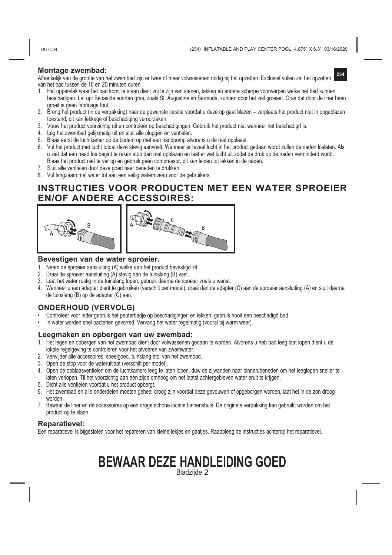#### **Montage zwembad:**

**234** Afhankelijk van de grootte van het zwembad zijn er twee of meer volwassenen nodig bij het opzetten. Exclusief vullen zal het opzetten van het bad tussen de 10 en 20 minuten duren.

- 1. Het oppervlak waar het bad komt te staan dient vrij te zijn van stenen, takken en andere scherpe voorwerpen welke het bad kunnen beschadigen. Let op: Bepaalde soorten gras, zoals St. Augustine en Bermuda, kunnen door het zeil groeien. Gras dat door de liner heen groeit is geen fabricage fout.
- 2. Breng het product (in de verpakking) naar de gewenste locatie voordat u deze op gaat blazen verplaats het product niet in opgeblazen toestand, dit kan lekkage of beschadiging veroorzaken.
- 3. Vouw het product voorzichtig uit en controleer op beschadigingen. Gebruik het product niet wanneer het beschadigd is.
- 4. Leg het zwembad gelijkmatig uit en sluit alle pluggen en ventielen.
- 5. Blaas eerst de luchtkamer op de bodem op met een handpomp alvorens u de rest opblaast.
- 6. Vul het product met lucht totdat deze stevig aanvoelt. Wanneer er teveel lucht in het product gedaan wordt zullen de naden loslaten. Als u ziet dat een naad los begint te raken stop dan met opblazen en laat er wat lucht uit zodat de druk op de naden verminderd wordt. Blaas het product niet te ver op en gebruik geen compressor, dit kan leiden tot lekken in de naden.
- 7. Sluit alle ventielen door deze goed naar beneden te drukken.
- 8. Vul langzaam met water tot aan een veilig waterniveau voor de gebruikers.

## **INSTRUCTIES VOOR PRODUCTEN MET EEN WATER SPROEIER EN/OF ANDERE ACCESSOIRES:**



#### **Bevestigen van de water sproeier.**

- 1. Neem de sproeier aansluiting (A) welke aan het product bevestigd zit.
- 2. Draai de sproeier aansluiting (A) stevig aan de tuinslang (B) vast.
- 3. Laat het water rustig in de tuinslang lopen, gebruik daarna de spoeier zoals u wenst.
- 4. Wanneer u een adapter dient te gebruiken (verschilt per model), draai dan de adapter (C) aan de sproeier aansluiting (A) en sluit daarna de tuinslang (B) op de adapter (C) aan.

#### **ONDERHOUD (VERVOLG)**

- Controleer voor ieder gebruik het peuterbadje op beschadigingen en lekken, gebruik nooit een beschadigd bad.
- In water worden snel bacteriën gevormd. Vervang het water regelmatig (vooral bij warm weer).

#### **Leegmaken en opbergen van uw zwembad:**

- 1. Het legen en opbergen van het zwembad dient door volwassenen gedaan te worden. Alvorens u heb bad leeg laat lopen dient u de lokale regelgeving te controleren voor het afvoeren van zwemwater.
- 2. Verwijder alle accessoires, speelgoed, tuinslang etc. van het zwembad.
- 3. Open de stop voor de wateruitlaat (verschilt per model).
- 4. Open de opblaasventielen om de luchtkamers leeg te laten lopen, duw de zijwanden naar binnen/beneden om het leeglopen sneller te laten verlopen. Til het voorzichtig aan één zijde omhoog om het laatst achtergebleven water eruit te krijgen.
- 5. Dicht alle ventielen voordat u het product opbergt.
- 6. Het zwembad en alle onderdelen moeten geheel droog zijn voordat deze gevouwen of opgeborgen worden, laat het in de zon droog worden.
- 7. Bewaar de liner en de accessoires op een droge schone locatie binnenshuis. De originele verpakking kan gebruikt worden om het product op te slaan.

#### **Reparatievel:**

Een reparatievel is bijgesloten voor het repareren van kleine lekjes en gaatjes. Raadpleeg de instructies achterop het reparatievel.

# **BEWAAR DEZE HANDLEIDING GOED**

Bladzijde 2

#### **DUTCH**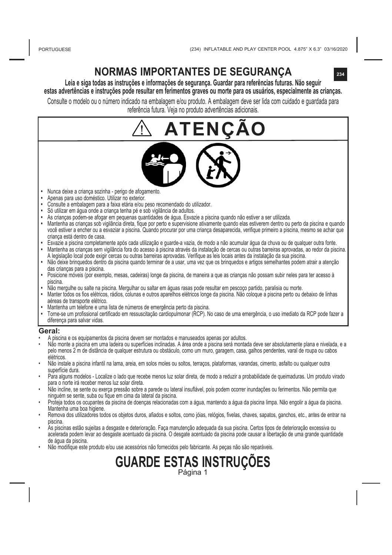# **NORMAS IMPORTANTES DE SEGURANÇA**

**Leia e siga todas as instruções e informações de segurança. Guardar para referências futuras. Não seguir**  estas advertências e instruções pode resultar em ferimentos graves ou morte para os usuários, especialmente as crianças,

Consulte o modelo ou o número indicado na embalagem e/ou produto. A embalagem deve ser lida com cuidado e guardada para referência futura. Veja no produto advertências adicionais.

# **FENCAO**

- **•**  Nunca deixe a criança sozinha perigo de afogamento.
- **•**  Apenas para uso doméstico. Utilizar no exterior.
- **•**  Consulte a embalagem para a faixa etária e/ou peso recomendado do utilizador.
- **•**  Só utilizar em água onde a criança tenha pé e sob vigilância de adultos.
- **•**  As crianças podem-se afogar em pequenas quantidades de água. Esvazie a piscina quando não estiver a ser utilizada.
- **•**  Mantenha as crianças sob vigilância direta, fique por perto e supervisione ativamente quando elas estiverem dentro ou perto da piscina e quando você estiver a encher ou a esvaziar a piscina. Quando procurar por uma criança desaparecida, verifique primeiro a piscina, mesmo se achar que criança está dentro de casa.
- **•**  Esvazie a piscina completamente após cada utilização e guarde-a vazia, de modo a não acumular água da chuva ou de qualquer outra fonte. **•** Mantenha as crianças sem vigilância fora do acesso à piscina através da instalação de cercas ou outras barreiras aprovadas, ao redor da piscina.
- A legislação local pode exigir cercas ou outras barreiras aprovadas. Verifique as leis locais antes da instalação da sua piscina. **•** Não deixe brinquedos dentro da piscina quando terminar de a usar, uma vez que os brinquedos e artigos semelhantes podem atrair a atenção
- das crianças para a piscina.
- **•** Posicione móveis (por exemplo, mesas, cadeiras) longe da piscina, de maneira a que as crianças não possam subir neles para ter acesso à piscina.
- **•** Não mergulhe ou salte na piscina. Mergulhar ou saltar em águas rasas pode resultar em pescoço partido, paralisia ou morte.
- **•** Manter todos os fios elétricos, rádios, colunas e outros aparelhos elétricos longe da piscina. Não coloque a piscina perto ou debaixo de linhas aéreas de transporte elétrico.
- **•** Mantenha um telefone e uma lista de números de emergência perto da piscina.
- **•** Torne-se um profissional certificado em ressuscitação cardiopulmonar (RCP). No caso de uma emergência, o uso imediato da RCP pode fazer a diferença para salvar vidas.

#### **Geral:**

- A piscina e os equipamentos da piscina devem ser montados e manuseados apenas por adultos.
- Não monte a piscina em uma ladeira ou superfícies inclinadas. A área onde a piscina será montada deve ser absolutamente plana e nivelada, e a pelo menos 2 m de distância de qualquer estrutura ou obstáculo, como um muro, garagem, casa, galhos pendentes, varal de roupa ou cabos elétricos.
- Não instale a piscina infantil na lama, areia, em solos moles ou soltos, terraços, plataformas, varandas, cimento, asfalto ou qualquer outra superfície dura.
- Para alguns modelos Localize o lado que recebe menos luz solar direta, de modo a reduzir a probabilidade de queimaduras. Um produto virado<br>para o norte irá receber menos luz solar direta.
- Não incline, se sente ou exerça pressão sobre a parede ou lateral insuflável, pois podem ocorrer inundações ou ferimentos. Não permita que ninguém se sente, suba ou fique em cima da lateral da piscina.
- Proteja todos os ocupantes da piscina de doenças relacionadas com a água, mantendo a água da piscina limpa. Não engolir a água da piscina. Mantenha uma boa higiene.
- Remova dos utilizadores todos os objetos duros, afiados e soltos, como jóias, relógios, fivelas, chaves, sapatos, ganchos, etc., antes de entrar na piscina.
- As piscinas estão sujeitas a desgaste e deterioração. Faça manutenção adequada da sua piscina. Certos tipos de deterioração excessiva ou acelerada podem levar ao desgaste acentuado da piscina. O desgate acentuado da piscina pode causar a libertação de uma grande quantidade de água da piscina.
- Não modifique este produto e/ou use acessórios não fornecidos pelo fabricante. As peças não são reparáveis.

# **GUARDE ESTAS INSTRUÇÕES** Página 1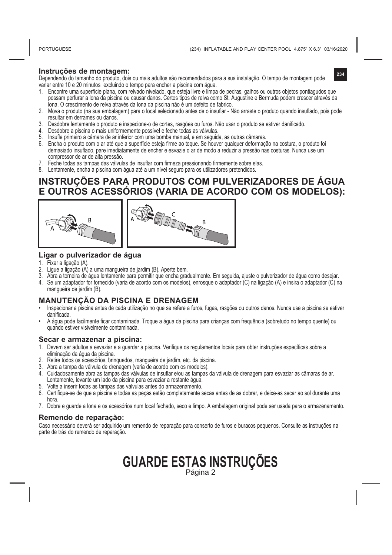#### **Instruções de montagem:**

Dependendo do tamanho do produto, dois ou mais adultos são recomendados para a sua instalação. O tempo de montagem pode variar entre 10 e 20 minutos excluindo o tempo para encher a piscina com água.

- 1. Encontre uma superfície plana, com relvado nivelado, que esteja livre e limpa de pedras, galhos ou outros objetos pontiagudos que possam perfurar a lona da piscina ou causar danos. Certos tipos de relva como St. Augustine e Bermuda podem crescer através da lona. O crescimento de relva através da lona da piscina não é um defeito de fabrico.
- 2. Mova o produto (na sua embalagem) para o local selecionado antes de o insuflar Não arraste o produto quando insuflado, pois pode resultar em derrames ou danos.
- 3. Desdobre lentamente o produto e inspecione-o de cortes, rasgões ou furos. Não usar o produto se estiver danificado.
- 4. Desdobre a piscina o mais uniformemente possível e feche todas as válvulas.
- 5. Insufle primeiro a câmara de ar inferior com uma bomba manual, e em seguida, as outras câmaras.
- 6. Encha o produto com o ar até que a superfície esteja firme ao toque. Se houver qualquer deformação na costura, o produto foi demasiado insuflado, pare imediatamente de encher e esvazie o ar de modo a reduzir a pressão nas costuras. Nunca use um compressor de ar de alta pressão.
- 7. Feche todas as tampas das válvulas de insuflar com firmeza pressionando firmemente sobre elas.
- 8. Lentamente, encha a piscina com água até a um nível seguro para os utilizadores pretendidos.

### **INSTRUÇÕES PARA PRODUTOS COM PULVERIZADORES DE ÁGUA E OUTROS ACESSÓRIOS (VARIA DE ACORDO COM OS MODELOS):**





#### **Ligar o pulverizador de água**

- 1. Fixar a ligação (A).
- 2. Ligue a ligação (A) a uma mangueira de jardim (B). Aperte bem.
- 3. Abra a torneira de água lentamente para permitir que encha gradualmente. Em seguida, ajuste o pulverizador de água como desejar.
- 4. Se um adaptador for fornecido (varia de acordo com os modelos), enrosque o adaptador (C) na ligação (A) e insira o adaptador (C) na mangueira de jardim (B).

#### **MANUTENÇÃO DA PISCINA E DRENAGEM**

- Inspecionar a piscina antes de cada utilização no que se refere a furos, fugas, rasgões ou outros danos. Nunca use a piscina se estiver danificada.
- A água pode facilmente ficar contaminada. Troque a água da piscina para crianças com frequência (sobretudo no tempo quente) ou quando estiver visivelmente contaminada.

#### **Secar e armazenar a piscina:**

- 1. Devem ser adultos a esvaziar e a guardar a piscina. Verifique os regulamentos locais para obter instruções específicas sobre a eliminação da água da piscina.
- 2. Retire todos os acessórios, brinquedos, mangueira de jardim, etc. da piscina.
- 3. Abra a tampa da válvula de drenagem (varia de acordo com os modelos).
- 4. Cuidadosamente abra as tampas das válvulas de insuflar e/ou as tampas da válvula de drenagem para esvaziar as câmaras de ar. Lentamente, levante um lado da piscina para esvaziar a restante água.
- 5. Volte a inserir todas as tampas das válvulas antes do armazenamento.
- 6. Certifique-se de que a piscina e todas as peças estão completamente secas antes de as dobrar, e deixe-as secar ao sol durante uma hora.
- 7. Dobre e guarde a lona e os acessórios num local fechado, seco e limpo. A embalagem original pode ser usada para o armazenamento.

#### **Remendo de reparação:**

Caso necessário deverá ser adquirido um remendo de reparação para conserto de furos e buracos pequenos. Consulte as instruções na parte de trás do remendo de reparação.

# **GUARDE ESTAS INSTRUÇÕES** Página 2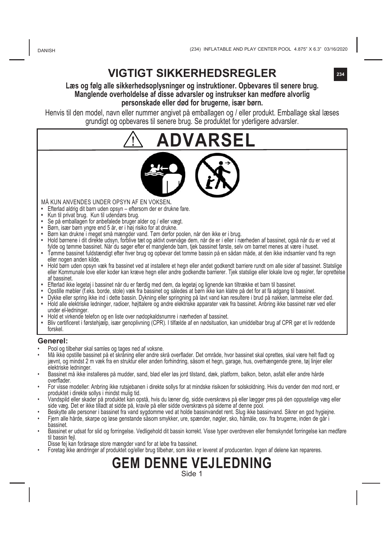# **VIGTIGT SIKKERHEDSREGLER**

#### **Læs og følg alle sikkerhedsoplysninger og instruktioner. Opbevares til senere brug. Manglende overholdelse af disse advarsler og instrukser kan medføre alvorlig personskade eller død for brugerne, især børn.**

Henvis til den model, navn eller nummer angivet på emballagen og / eller produkt. Emballage skal læses grundigt og opbevares til senere brug. Se produktet for yderligere advarsler.





MÅ KUN ANVENDES UNDER OPSYN AF EN VOKSEN**.**

- **•**  Efterlad aldrig dit barn uden opsyn eftersom der er drukne fare.
- **•**  Kun til privat brug. Kun til udendørs brug.
- **•**  Se på emballagen for anbefalede bruger alder og / eller vægt.
- **•**  Børn, især børn yngre end 5 år, er i høj risiko for at drukne.
- **•**  Børn kan drukne i meget små mængder vand. Tøm derfor poolen, når den ikke er i brug.
- **•**  Hold børnene i dit direkte udsyn, forblive tæt og aktivt overvåge dem, når de er i eller i nærheden af bassinet, også når du er ved at fylde og tømme bassinet. Når du søger efter et manglende barn, tjek bassinet første, selv om barnet menes at være i huset.
- **•**  Tømme bassinet fuldstændigt efter hver brug og opbevar det tomme bassin på en sådan måde, at den ikke indsamler vand fra regn eller nogen anden kilde.
- **•** Hold børn uden opsyn væk fra bassinet ved at installere et hegn eller andet godkendt barriere rundt om alle sider af bassinet. Statslige eller Kommunale love eller koder kan kræve hegn eller andre godkendte barrierer. Tjek statslige eller lokale love og regler, før oprettelse af bassinet.
- 
- LEteriad ikke legetøj i bassinet har du er færdig med dem, da legetøj og lignende kan tiltrække et barn til bassinet.<br>• Opstille møbler (f.eks. borde, stole) væk fra bassinet og således at børn ikke kan klatre på det for
- **•** Dykke eller spring ikke ind i dette bassin. Dykning eller springning på lavt vand kan resultere i brud på nakken, lammelse eller død. **•** Hold alle elektriske ledninger, radioer, højttalere og andre elektriske apparater væk fra bassinet. Anbring ikke bassinet nær ved eller
- under el-ledninger. **•** Hold et virkende telefon og en liste over nødopkaldsnumre i nærheden af bassinet.
- **•** Bliv certificeret i førstehjælp, især genoplivning (CPR). I tilfælde af en nødsituation, kan umiddelbar brug af CPR gør et liv reddende forskel.

#### **Generel:**

- Pool og tilbehør skal samles og tages ned af voksne.
- Må ikke opstille bassinet på et skråning eller andre skrå overflader. Det område, hvor bassinet skal oprettes, skal være helt fladt og jævnt, og mindst 2 m væk fra en struktur eller anden forhindring, såsom et hegn, garage, hus, overhængende grene, tøj linjer eller elektriske ledninger.
- Bassinet må ikke installeres på mudder, sand, blød eller løs jord tilstand, dæk, platform, balkon, beton, asfalt eller andre hårde overflader.
- For visse modeller: Anbring ikke rutsjebanen i direkte sollys for at mindske risikoen for solskoldning. Hvis du vender den mod nord, er produktet i direkte sollys i mindst mulig tid.
- Vandspild eller skader på produktet kan opstå, hvis du læner dig, sidde overskrævs på eller lægger pres på den oppustelige væg eller side væg. Det er ikke tilladt at sidde på, kravle på eller sidde overskrævs på siderne af denne pool.
- Beskytte alle personer i bassinet fra vand sygdomme ved at holde bassinvandet rent. Slug ikke bassinvand. Sikrer en god hygiejne.
- Fjern alle hårde, skarpe og løse genstande såsom smykker, ure, spænder, nøgler, sko, hårnåle, osv. fra brugerne, inden de går i bassinet.
- Bassinet er udsat for slid og forringelse. Vedligehold dit bassin korrekt. Visse typer overdreven eller fremskyndet forringelse kan medføre til bassin fejl.
- Disse fej kan forårsage store mængder vand for at løbe fra bassinet.
- Foretag ikke ændringer af produktet og/eller brug tilbehør, som ikke er leveret af producenten. Ingen af delene kan repareres.

**GEM DENNE VEJLEDNING** Side 1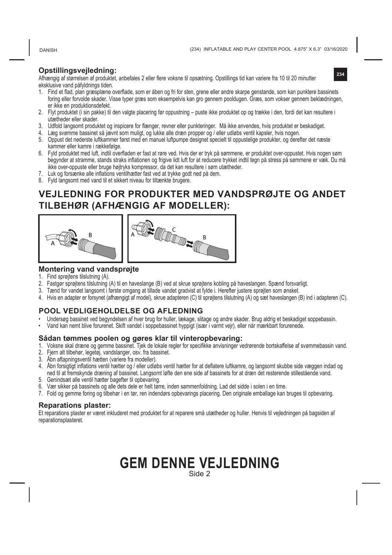DANISH

#### **Opstillingsvejledning:**

Afhængig af størrelsen af produktet, anbefales 2 eller flere voksne til opsætning. Opstillings tid kan variere fra 10 til 20 minutter eksklusive vand påfyldnings tiden.

**234**

- 1. Find et flad, plan græsplæne overflade, som er åben og fri for sten, grene eller andre skarpe genstande, som kan punktere bassinets foring eller forvolde skader. Visse typer græs som eksempelvis kan gro gennem pooldugen. Græs, som vokser gennem beklædningen, er ikke en produktionsdefekt.
- 2. Flyt produktet (i sin pakke) til den valgte placering før oppustning puste ikke produktet op og trække i den, fordi det kan resultere i utætheder eller skader.
- 
- 3. Odfold langsomt produktet og inspicere for flænger, revner eller punkteringer. Ma ikke anvendes, hvis produktet er beskadiget.<br>4. Læg svømme bassinet så jævnt som muligt, og lukke alle dræn propper og / eller udløbs v
- 5. Oppust det nederste luftkammer først med en manuel luftpumpe designet specielt til oppustelige produkter, og derefter det næste kammer eller kamre i rækkefølge.
- 6. Fyld produktet med luft, indtil overfladen er fast at røre ved. Hvis der er tryk på sømmene, er produktet over-oppustet. Hvis nogen søm begynder at stramme, stands straks inflationen og frigive lidt luft for at reducere trykket indtil tegn på stress på sømmene er væk. Du må ikke over-oppuste eller bruge højtryks kompressor, da det kan resultere i søm utætheder.
- 
- 7. Luk og forsænke alle inflations ventilhætter fast ved at trykke godt ned på dem. 8. Fyld langsomt med vand til et sikkert niveau for tiltænkte brugere.

# **VEJLEDNING FOR PRODUKTER MED VANDSPRØJTE OG ANDET TILBEHØR (AFHÆNGIG AF MODELLER):**





#### **Montering vand vandsprøjte**

- 1. Find sprøjtens tilslutning (A).
- 2. Fastgør sprøjtens tilslutning (A) til en haveslange (B) ved at skrue sprøjtens kobling på haveslangen. Spænd forsvarligt.
- 3. Tænd for vandet langsomt i første omgang at tillade vandet gradvist at fylde i. Herefter justere sprøjten som ønsket.
- 4. Hvis en adapter er forsynet (afhængigt af model), skrue adapteren (C) til sprøjtens tilslutning (A) og sæt haveslangen (B) ind i adapteren (C).

#### **POOL VEDLIGEHOLDELSE OG AFLEDNING**

- Undersøg bassinet ved begyndelsen af hver brug for huller, lækage, slitage og andre skader. Brug aldrig et beskadiget soppebassin.
- Vand kan nemt blive forurenet. Skift vandet i soppebassinet hyppigt (især i varmt vejr), eller når mærkbart forurenede.

#### **Sådan tømmes poolen og gøres klar til vinteropbevaring:**

- 1. Voksne skal dræne og gemme bassinet. Tjek de lokale regler for specifikke anvisninger vedrørende bortskaffelse af svømmebassin vand.
- 2. Fjern alt tilbehør, legetøj, vandslanger, osv. fra bassinet.
- 3. Åbn aftapningsventil hætten (variere fra modeller).
- 4. Åbn forsigtigt inflations ventil hætter og / eller udløbs ventil hætter for at deflatere luftkamre, og langsomt skubbe side væggen indad og ned til at fremskynde dræning af bassinet. Langsomt løfte den ene side af bassinets for at dræn det resterende stillestående vand.
- 5. Genindsæt alle ventil hætter bagefter til opbevaring.
- 6. Vær sikker på bassinets og alle dets dele er helt tørre, inden sammenfoldning, Lad det sidde i solen i en time.
- 7. Fold og gemme foring og tilbehør i en tør, ren indendørs opbevarings placering. Den originale emballage kan bruges til opbevaring.

#### **Reparations plaster:**

Et reparations plaster er været inkluderet med produktet for at reparere små utætheder og huller. Henvis til vejledningen på bagsiden af reparationsplasteret.

## **GEM DENNE VEJLEDNING** Side 2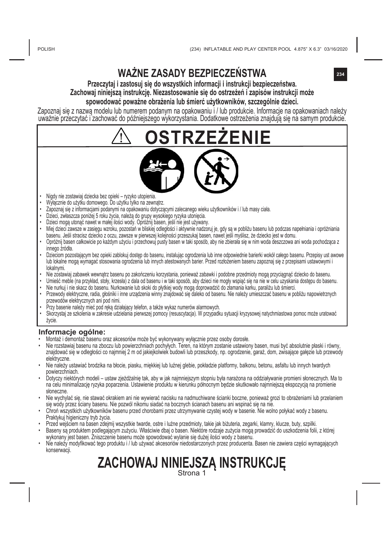# **WAŻNE ZASADY BEZPIECZEŃSTWA**

#### **Przeczytaj i zastosuj się do wszystkich informacji i instrukcji bezpieczeństwa. Zachowaj niniejszą instrukcję. Niezastosowanie się do ostrzeżeń i zapisów instrukcji może spowodować poważne obrażenia lub śmierć użytkowników, szczególnie dzieci.**

Zapoznaj się z nazwą modelu lub numerem podanym na opakowaniu i / lub produkcie. Informacje na opakowaniach należy uważnie przeczytać i zachować do późniejszego wykorzystania. Dodatkowe ostrzeżenia znajdują się na samym produkcie.

**ORZEZENIE** 

- Nigdy nie zostawiaj dziecka bez opieki ryzyko utopienia.
- Wyłącznie do użytku domowego. Do użytku tylko na zewnątrz.
- Zapoznaj się z informacjami podanymi na opakowaniu dotyczącymi zalecanego wieku użytkowników i / lub masy ciała.
- Dzieci, zwłaszcza poniżej 5 roku życia, należą do grupy wysokiego ryzyka utonięcia.
- Dzieci mogą utonąć nawet w małej ilości wody. Opróżnij basen, jeśli nie jest używany.
- Miej dzieci zawsze w zasięgu wzroku, pozostań w bliskiej odległości i aktywnie nadzoruj je, gdy są w pobliżu basenu lub podczas napełniania i opróżniania basenu. Jeśli stracisz dziecko z oczu, zawsze w pierwszej kolejności przeszukaj basen, nawet jeśli myślisz, że dziecko jest w domu.
- Opróżnij basen całkowicie po każdym użyciu i przechowuj pusty basen w taki sposób, aby nie zbierała się w nim woda deszczowa ani woda pochodząca z innego źródła.
- Dzieciom pozostającym bez opieki zablokuj dostęp do basenu, instalując ogrodzenia lub inne odpowiednie barierki wokół całego basenu. Przepisy ust awowe lub lokalne mogą wymagać stosowania ogrodzenia lub innych atestowanych barier. Przed rozłożeniem basenu zapoznaj się z przepisami ustawowymi i lokalnymi.
- Nie zostawiaj zabawek wewnątrz basenu po zakończeniu korzystania, ponieważ zabawki i podobne przedmioty mogą przyciągnąć dziecko do basenu.
- Umieść meble (na przykład, stoły, krzesła) z dala od basenu i w taki sposób, aby dzieci nie mogły wspiąć się na nie w celu uzyskania dostępu do basenu.
- Nie nurkuj i nie skacz do basenu. Nurkowanie lub skoki do płytkiej wody mogą doprowadzić do złamania karku, paraliżu lub śmierci.
- Przewody elektryczne, radia, głośniki i inne urządzenia winny znajdować się daleko od basenu. Nie należy umieszczać basenu w pobliżu napowietrznych przewodów elektrycznych ani pod nimi.
- Przy basenie należy mieć pod ręką działający telefon, a także wykaz numerów alarmowych.
- Skorzystaj ze szkolenia w zakresie udzielania pierwszej pomocy (resuscytacja). W przypadku sytuacji kryzysowej natychmiastowa pomoc może uratować życie.

#### **Informacje ogólne:**

- Montaż i demontaż basenu oraz akcesoriów może być wykonywany wyłącznie przez osoby dorosłe.
- Nie rozstawiaj basenu na zboczu lub powierzchniach pochyłych. Teren, na którym zostanie ustawiony basen, musi być absolutnie płaski i równy, znajdować się w odległości co najmniej 2 m od jakiejkolwiek budowli lub przeszkody, np. ogrodzenie, garaż, dom, zwisające gałęzie lub przewody elektryczne.
- Nie należy ustawiać brodzika na błocie, piasku, miękkiej lub luźnej glebie, pokładzie platformy, balkonu, betonu, asfaltu lub innych twardych powierzchniach.
- Dotyczy niektórych modeli ustaw zjeżdżalnię tak, aby w jak najmniejszym stopniu była narażona na oddziaływanie promieni słonecznych. Ma to na celu minimalizację ryzyka poparzenia. Ustawienie produktu w kierunku północnym będzie skutkowało najmniejszą ekspozycją na promienie słoneczne.
- Nie wychylać się, nie stawać okrakiem ani nie wywierać nacisku na nadmuchiwane ścianki boczne, ponieważ grozi to obrażeniami lub przelaniem się wody przez ściany basenu. Nie pozwól nikomu siadać na bocznych ścianach basenu ani wspinać się na nie.
- Chroń wszystkich użytkowników basenu przed chorobami przez utrzymywanie czystej wody w basenie. Nie wolno połykać wody z basenu. Praktykuj higieniczny tryb życia.
- Przed wejściem na basen zdejmij wszystkie twarde, ostre i luźne przedmioty, takie jak biżuteria, zegarki, klamry, klucze, buty, szpilki.
- Baseny są produktem podlegającym zużyciu. Właściwie dbaj o basen. Niektóre rodzaje zużycia mogą prowadzić do uszkodzenia folii, z której wykonany jest basen. Zniszczenie basenu może spowodować wylanie się dużej ilości wody z basenu.
- Nie należy modyfikować tego produktu i / lub używać akcesoriów niedostarczonych przez producenta. Basen nie zawiera części wymagających konserwacji.

# **ZACHOWAJ NINIEJSZĄ INSTRUKCJĘ** Strona 1

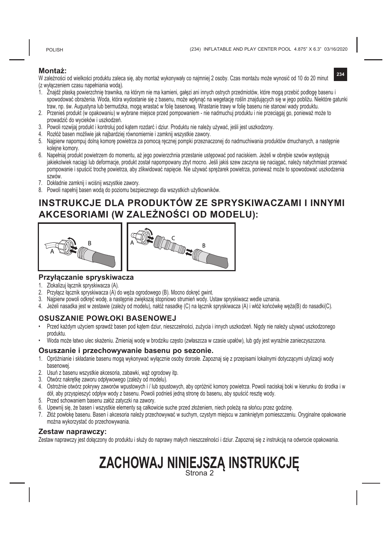POLISH

**234**

#### **Montaż:**

W zależności od wielkości produktu zaleca się, aby montaż wykonywały co najmniej 2 osoby. Czas montażu może wynosić od 10 do 20 minut (z wyłączeniem czasu napełniania wodą).

- 1. Znajdź płaską powierzchnię trawnika, na którym nie ma kamieni, gałęzi ani innych ostrych przedmiotów, które mogą przebić podłogę basenu i spowodować obrażenia. Woda, która wydostanie się z basenu, może wpłynąć na wegetację roślin znajdujących się w jego pobliżu. Niektóre gatunki traw, np. św. Augustyna lub bermudzka, mogą wrastać w folię basenową. Wrastanie trawy w folię basenu nie stanowi wady produktu.
- 2. Przenieś produkt (w opakowaniu) w wybrane miejsce przed pompowaniem nie nadmuchuj produktu i nie przeciągaj go, ponieważ może to prowadzić do wycieków i uszkodzeń.
- 3. Powoli rozwijaj produkt i kontroluj pod kątem rozdarć i dziur. Produktu nie należy używać, jeśli jest uszkodzony.
- 4. Rozłóż basen możliwie jak najbardziej równomiernie i zamknij wszystkie zawory.
- 5. Najpierw napompuj dolną komorę powietrza za pomocą ręcznej pompki przeznaczonej do nadmuchiwania produktów dmuchanych, a następnie kolejne komory.
- 6. Napełniaj produkt powietrzem do momentu, aż jego powierzchnia przestanie ustępować pod naciskiem. Jeżeli w obrębie szwów występują jakiekolwiek naciągi lub deformacje, produkt został napompowany zbyt mocno. Jeśli jakiś szew zaczyna się naciągać, należy natychmiast przerwać pompowanie i spuścić trochę powietrza, aby zlikwidować napięcie. Nie używać sprężarek powietrza, ponieważ może to spowodować uszkodzenia szwów.
- 7. Dokładnie zamknij i wciśnij wszystkie zawory.
- 8. Powoli napełnij basen wodą do poziomu bezpiecznego dla wszystkich użytkowników.

## **INSTRUKCJE DLA PRODUKTÓW ZE SPRYSKIWACZAMI I INNYMI AKCESORIAMI (W ZALEŻNOŚCI OD MODELU):**



# **Przyłączanie spryskiwacza**

- 1. Zlokalizuj łącznik spryskiwacza (A).
- 2. Przyłącz łącznik spryskiwacza (A) do węża ogrodowego (B). Mocno dokręć gwint.
- 3. Najpierw powoli odkręć wodę, a następnie zwiększaj stopniowo strumień wody. Ustaw spryskiwacz wedle uznania.
- 4. Jeżeli nasadka jest w zestawie (zależy od modelu), nałóż nasadkę (C) na łącznik spryskiwacza (A) i włóż końcówkę węża(B) do nasadki(C).

#### **OSUSZANIE POWŁOKI BASENOWEJ**

- Przed każdym użyciem sprawdź basen pod kątem dziur, nieszczelności, zużycia i innych uszkodzeń. Nigdy nie należy używać uszkodzonego produktu.
- Woda może łatwo ulec skażeniu. Zmieniaj wodę w brodziku często (zwłaszcza w czasie upałów), lub gdy jest wyraźnie zanieczyszczona.

#### **Osuszanie i przechowywanie basenu po sezonie.**

- 1. Opróżnianie i składanie basenu mogą wykonywać wyłącznie osoby dorosłe. Zapoznaj się z przepisami lokalnymi dotyczącymi utylizacji wody basenowej.
- 2. Usuń z basenu wszystkie akcesoria, zabawki, wąż ogrodowy itp.
- 3. Otwórz nakrętkę zaworu odpływowego (zależy od modelu).
- 4. Ostrożnie otwórz pokrywy zaworów wpustowych i / lub spustowych, aby opróżnić komory powietrza. Powoli naciskaj boki w kierunku do środka i w dół, aby przyspieszyć odpływ wody z basenu. Powoli podnieś jedną stronę do basenu, aby spuścić resztę wody.
- 5. Przed schowaniem basenu załóż zatyczki na zawory.
- 6. Upewnij się, że basen i wszystkie elementy są całkowicie suche przed złożeniem, niech poleżą na słońcu przez godzinę.
- 7. Złóż powłokę basenu. Basen i akcesoria należy przechowywać w suchym, czystym miejscu w zamkniętym pomieszczeniu. Oryginalne opakowanie można wykorzystać do przechowywania.

#### **Zestaw naprawczy:**

Zestaw naprawczy jest dołączony do produktu i służy do naprawy małych nieszczelności i dziur. Zapoznaj się z instrukcją na odwrocie opakowania.

# **ZACHOWAJ NINIEJSZĄ INSTRUKCJĘ** Strona 2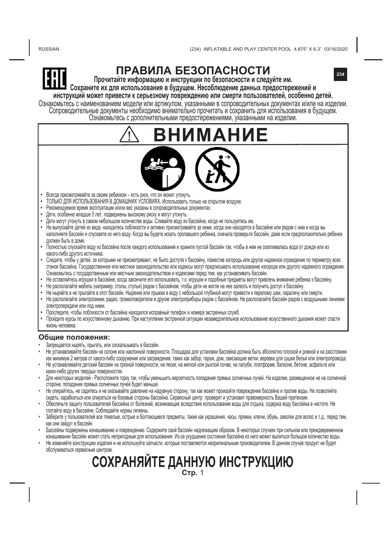RUSSIAN

The Customs union Commission has approved by its Decision of 15.07.2011 No.711 Graphic representation of the single mark and "Regulation on the single mark for

conformity assessment (attestation), established by the Customs union technical regulations, and meet all requirements of the Customs union technical regulations **234**



# **ПРАВИЛА БЕЗОПАСНОСТИ**

**Прочитайте информацию и инструкции по безопасности и следуйте им. Сохраните их для использования в будущем. Несоблюдение данных предостережений и**

**инструкций может привести к серьезному повреждению или смерти пользователей, особенно детей.** Ознакомы есь с наименованием модели или артикулом, указанными в сопроводительных документах илли на изделии.<br>Сопроводительные документы необходимо внимательно прочитать и сохранить для использования в будущем.<br>Ознакомьтес Ознакомьтесь с н states attests that products bearing this mark, underwent all procedures of the

**ВНИМАНИЕ**

- **•**  Всегда присматривайте за своим ребенком есть риск, что он может утонуть.
- **•**  ТОЛЬКО ДЛЯ ИСПОЛЬЗОВАНИЯ В ДОМАШНИХ УСЛОВИЯХ. Использовать только на открытом воздухе.
- **•**  Рекомендуемое время эксплуатации и/или вес указаны в сопроводительных документах.
- **•**  Дети, особенно младше 5 лет, подвержены высокому риску и могут утонуть.
- Дети могут утонуть в самом небольшом количестве воды. Сливайте воду из бассейна, когда не пользуетесь им.
- **•**  Не выпускайте детей из вида, находитесь поблизости и активно присматривайте за ними, когда они находятся в бассейне или рядом с ним и когда вы наполняете бассейн и спускаете из него воду. Когда вы будете искать пропавшего ребенка, сначала проверьте бассейн, даже если предположительно ребенок должен быть в доме.
- **•**  Полностью спускайте воду из бассейна после каждого использования и храните пустой бассейн так, чтобы в нем не скапливалась вода от дождя или из какого-либо другого источника.
- **•** Следите, чтобы у детей, за которыми не присматривают, не было доступа к бассейну, поместив изгородь или другое надежное ограждение по периметру всех стенок бассейна. Государственное или местное законодательство или кодексы могут предписывать использование изгороди или другого надежного ограждения. Ознакомьтесь с государственным или местным законодательством и кодексами перед тем, как устанавливать бассейн.
- **•** Не оставляйтесь игрушки в бассейне, когда закончите его использовать, т.к. игрушки и подобные предметы могут привлечь внимание ребенка к бассейну.
- **•** Не располагайте мебель (например, столы, стулья) рядом с бассейном, чтобы дети не могли на нее залезть и получить доступ к бассейну.
- **•** Не ныряйте и не прыгайте в этот бассейн. Ныряние или прыжки в воду с небольшой глубиной могут привести к перелому шеи, параличу или смерти.
- **•** Не располагайте электролинии, радио, громкоговорители и другие электроприборы рядом с бассейном. Не располагайте бассейн рядом с воздушными линиями электропередачи или под ними.
- **•** Проследите, чтобы поблизости от бассейна находился исправный телефон и номера экстренных служб.
- **•** Пройдите курсы по искусственному дыханию. При наступлении экстренной ситуации незамедлительное использование искусственного дыхания может спасти жизнь человека.

#### **Общие положения:**

- Запрещается нырять, прыгать, или соскальзывать в бассейн.
- Не устанавливайте бассейн на склоне или наклонной поверхности. Площадка для установки бассейна должна быть абсолютно плоской и ровной и на расстоянии как минимум 2 метров от какого-либо сооружения или заграждения, таких как забор, гараж, дом, свисающие ветки, веревки для сушки белья или электропровода.
- Не устанавливайте детский бассейн на грязной поверхности, на песке, на мягкой или рыхлой почве, на палубе, платформе, балконе, бетоне, асфальте или каких-либо других твердых поверхностях.
- Для некоторых моделей Расположите горку так, чтобы уменьшить вероятность попадания прямых солнечных лучей. На изделие, размещенное не на солнечной стороне, попадание прямых солнечных лучей будет меньше.
- Не опирайтесь, не садитесь и не оказывайте давление на надувную сторону, так как может произойти повреждение бассейна и пролив воды. Не позволяйте сидеть, карабкаться или опираться на боковые стороны бассейна. Сервисный центр проверит и установит правомерность Вашей претензии.
- Обеспечьте защиту пользователей бассейна от болезней, возникающих вследствие использования воды для отдыха, содержа воду бассейна в чистоте. Не глотайте воду в бассейне. Соблюдайте нормы гигиены.
- Заберите у пользователей все тяжелые, острые и болтающиеся предметы, такие как украшения, часы, пряжки, ключи, обувь, заколки для волос и т.д., перед тем, как они зайдут в бассейн.
- Бассейны подвержены изнашиванию и повреждению. Содержите свой бассейн надлежащим образом. В некоторых случаях при сильном или преждевременном изнашивании бассейн может стать непригодным для использования. Из-за ухудшения состояния бассейна из него может вылиться большое количество воды.
- Не изменяйте конструкцию изделия и не используйте запчасти, которые поставляются неоригинальным производителем. В данном случае продукт не будет обслуживаться сервисным центром.

# **СОХРАНЯЙТЕ ДАННУЮ ИНСТРУКЦИЮ Стр.** 1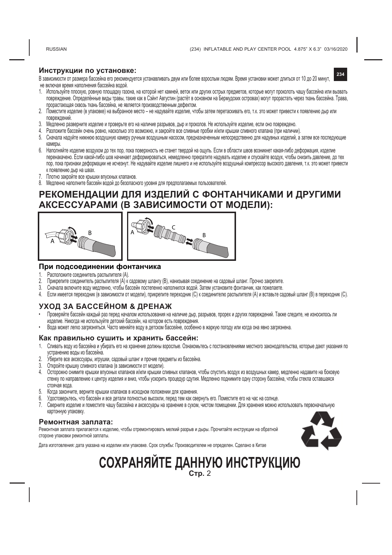RUSSIAN

(234) INFLATABLE AND PLAY CENTER POOL 4.875" X 6.3" 03/16/2020

#### **Инструкции по установке:**

**234** В зависимости от размера бассейна его рекомендуется устанавливать двум или более взрослым людям. Время установки может длиться от 10 до 20 минут, не включая время наполнения бассейна водой.

- 1. Используйте плоскую, ровную площадку газона, на которой нет камней, веток или других острых предметов, которые могут проколоть чашу бассейна или вызвать повреждение. Определённые виды травы, такие как в Сэйнт Августин (растёт в основном на Бермудских островах) могут прорастать через ткань бассейна. Трава, прорастающая сквозь ткань бассейна, не является производственным дефектом.
- 2. Поместите изделие (в упаковке) на выбранное место не надувайте изделие, чтобы затем перетаскивать его, т.к. это может привести к появлению дыр или повреждений.
- 3. Медленно разверните изделие и проверьте его на наличие разрывов, дыр и проколов. Не используйте изделие, если оно повреждено.
- 4. Разложите бассейн очень ровно, насколько это возможно, и закройте все сливные пробки и/или крышки сливного клапана (при наличии).
- 5. Сначала надуйте нижнюю воздушную камеру ручным воздушным насосом, предназначенным непосредственно для надувных изделий, а затем все последующие камеры.
- 6. Наполняйте изделие воздухом до тех пор, пока поверхность не станет твердой на ощупь. Если в области швов возникнет какая-либо деформация, изделие перенакачено. Если какой-либо шов начинает деформироваться, немедленно прекратите надувать изделие и спускайте воздух, чтобы снизить давление, до тех пор, пока признаки деформации не исчезнут. Не надувайте изделие лишнего и не используйте воздушный компрессор высокого давления, т.к. это может привести к появлению дыр на швах.
- 7. Плотно закройте все крышки впускных клапанов.
- 8. Медленно наполните бассейн водой до безопасного уровня для предполагаемых пользователей.

## **РЕКОМЕНДАЦИИ ДЛЯ ИЗДЕЛИЙ С ФОНТАНЧИКАМИ И ДРУГИМИ АКСЕССУАРАМИ (В ЗАВИСИМОСТИ ОТ МОДЕЛИ):**





#### **При подсоединении фонтанчика**

- 1. Расположите соединитель распылителя (А).<br>2. Прикрепите соединитель распылителя (А) к
- 2. Прикрепите соединитель распылителя (А) к садовому шлангу (В), нанизывая соединение на садовый шланг. Прочно закрепите.
- 3. Сначала включите воду медленно, чтобы бассейн постепенно наполнился водой. Затем установите фонтанчик, как пожелаете.
- 4. Если имеется переходник (в зависимости от модели), прикрепите переходник (С) к соединителю распылителя (А) и вставьте садовый шланг (В) в переходник (С).

#### **УХОД ЗА БАССЕЙНОМ & ДРЕНАЖ**

- Проверяйте бассейн каждый раз перед началом использования на наличие дыр, разрывов, прорех и других повреждений. Также следите, не износилось ли изделие. Никогда не используйте детский бассейн, на котором есть повреждения.
- Вода может легко загрязняться. Часто меняйте воду в детском бассейне, особенно в жаркую погоду или когда она явно загрязнена.

#### **Как правильно сушить и xранить бассейн:**

- 1. Сливать воду из бассейна и убирать его на хранение должны взрослые. Ознакомьтесь с постановлениями местного законодательства, которые дают указания по
- устранению воды из оассеина.<br>2. Уберите все аксессуары, игрушки, садовый шланг и прочие предметы из бассейна.
- 3. Откройте крышку сливного клапана (в зависимости от модели).
- 4. Осторожно снимите крышки впускных клапанов и/или крышки сливных клапанов, чтобы спустить воздух из воздушных камер, медленно надавите на боковую стенку по направлению к центру изделия и вниз, чтобы ускорить процедур сдутия. Медленно поднимите одну сторону бассейна, чтобы стекла оставшаяся стоячая вода.
- 5. Когда закончите, верните крышки клапанов в исходном положении для хранения.
- 6. Удостоверьтесь, что бассейн и все детали полностью высохли, перед тем как свернуть его. Поместите его на час на солнце.
- 7. Сверните изделие и поместите чашу бассейна и аксессуары на хранение в сухом, чистом помещении. Для хранения можно использовать первоначальную картонную упаковку.

#### **Ремонтная заплата:**

Ремонтная заплата прилагается к изделию, чтобы отремонтировать мелкий разрыв и дыры. Прочитайте инструкции на обратной стороне упаковки ремонтной заплаты.



Дата изготовления: дата указана на изделии или упаковке. Срок службы: Производителем не определен. Сделано в Китае

# **СОХРАНЯЙТЕ ДАННУЮ ИНСТРУКЦИЮ Стр.** 2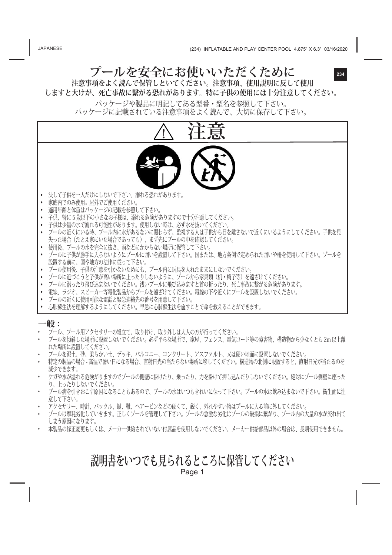JAPANESE

# **プールを安全にお使いいただくために**

**234**

**注意事項をよく読んで保管しといてください。注意事項、使用説明に反して使用 しますと大けが、死亡事故に繋がる恐れがあります。特に子供の使用には十分注意してください。**

パッケージや製品に明記してある型番・型名を参照して下さい。 パッケージに記載されている注意事項をよく読んで、大切に保存して下さい。



- **•** プールに潜ったり飛び込まないでください。浅いプールに飛び込みますと首の折ったり、死亡事故に繋がる危険があります。
- **•** 電線、ラジオ、スピーカー等電化製品からプールを遠ざけてください。電線の下や近くにプールを設置しないでください。 **•** プールの近くに使用可能な電話と緊急連絡先の番号を用意して下さい。
- **•** 心肺蘇生法を理解するようにしてください。早急に心肺蘇生法を施すことで命を救えることができます。

#### **一般 :**

- プール、プール用アクセサリーの組立て、取り付け、取り外しは大人の方が行ってください。
- プールを傾斜した場所に設置しないでください。必ず平らな場所で、家屋、フェンス、電気コード等の障害物、構造物から少なくとも 2m 以上離 れた場所に設置してください。
- プールを泥土、砂、柔らかい土、デッキ、バルコニー、コンクリート、アスファルト、又は硬い地面に設置しないでください。
- 特定の製品の場合 高温で暑い日になる場合、直射日光の当たらない場所に移してください。構造物の北側に設置すると、直射日光が当たるのを 減少できます。
- ケガや水が溢れる危険がりますのでプールの側壁に掛けたり、乗ったり、力を掛けて押し込んだりしないでください。絶対にプール側壁に座った り、上ったりしないでください。
- プール病を引きおこす原因になることもあるので、プールの水はいつもきれいに保って下さい。プールの水は飲み込まないで下さい。衛生面に注 意して下さい。
- アクセサリー、時計、バックル、鍵、靴、ヘアーピンなどの硬くて、鋭く、外れやすい物はプールに入る前に外してください。
- プールは摩耗劣化していきます。正しくプールを管理して下さい。プールの急激な劣化はプールの破損に繋がり、プール内の大量の水が流れ出て しまう原因になります。
- 本製品の修正変更もしくは、メーカー供給されていない付属品を使用しないでください。メーカー供給部品以外の場合は、長期使用できません。

# **説明書をいつでも見られるところに保管してください**

Page 1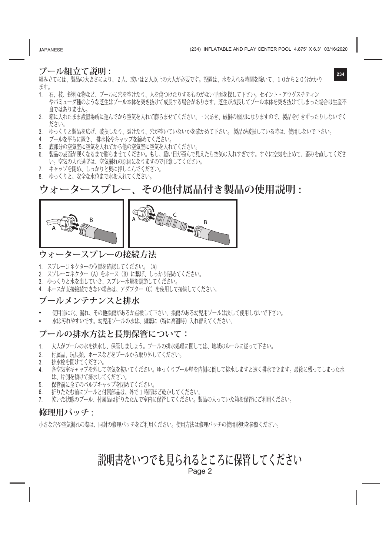#### **プール組立て説明 :**

組み立てには、製品の大きさにより、2人、或いは2人以上の大人が必要です。設置は、水を入れる時間を除いて、10から20分かかり ます。

- 1. 石、枝、鋭利な物など、プールに穴を空けたり、人を傷つけたりするものがない平面を探して下さい。セイント・アウグスチティン やバミューダ種のような芝生はプール本体を突き抜けて成長する場合があります。芝生が成長してプール本体を突き抜けてしまった場合は生産不 良ではありません。
- 2. 箱に入れたまま設置場所に運んでから空気を入れて膨らませてください。‐穴あき、破損の原因になりますので、製品を引きずったりしないでく ださい。
- 3. ゆっくりと製品を広げ、破損したり、裂けたり、穴が空いていないかを確かめて下さい。 製品が破損している時は、使用しないで下さい。
- 4. プールを平らに置き、 排水栓やキャップを締めてください。
- 5. 底部分の空気室に空気を入れてから他の空気室に空気を入れてください。
- 6. 製品の表面が硬くなるまで膨らませてください。もし、縫い目が歪んで見えたら空気の入れすぎです。すぐに空気を止めて、歪みを直してくださ い。空気の入れ過ぎは、空気漏れの原因になりますので注意してください。
- 7. キャップを閉め、しっかりと奥に押しこんでください。
- 8. ゆっくりと、安全な水位まで水を入れてください。

# **ウォータースプレー、その他付属品付き製品の使用説明 :**



## **ウォータースプレーの接続方法**

- 1. スプレーコネクターの位置を確認してください。(A)
- 2. スプレーコネクター(A)をホース(B)に繋げ、しっかり閉めてください。
- 3. ゆっくりと水を出していき、スプレー水量を調節してください。
- 4. ホースが直接接続できない場合は、アダプター(C)を使用して接続してください。

## **プールメンテナンスと排水**

- 使用前に穴、漏れ、その他損傷があるか点検して下さい。損傷のある幼児用プールは決して使用しないで下さい。
- 水は汚れやすいです。幼児用プールの水は、頻繁に(特に高温時)入れ替えてください。

#### **プールの排水方法と長期保管について:**

- 1. 大人がプールの水を排水し、保管しましょう。プールの排水処理に関しては、地域のルールに従って下さい。
- 2. 付属品、玩具類、ホースなどをプールから取り外してください。
- 3. 排水栓を開けてください。
- 4. 各空気室キャップを外して空気を抜いてください。ゆっくりプール壁を内側に倒して排水しますと速く排水できます。最後に残ってしまった水 は、片側を傾けて排水してください。
- 5. 保管前に全てのバルブキャップを閉めてください。
- 6. 折りたたむ前にプールと付属部品は、外で1時間ほど乾かしてください。<br>7 あいた状能のプール 付属品は折りたたんで室内に保管してください。
- 7. 乾いた状態のプール、付属品は折りたたんで室内に保管してください。製品の入っていた箱を保管にご利用ください。

#### **修理用パッチ :**

小さな穴や空気漏れの際は、同封の修理パッチをご利用ください。使用方法は修理パッチの使用説明を参照ください。

## **説明書をいつでも見られるところに保管してください** Page 2

JAPANESE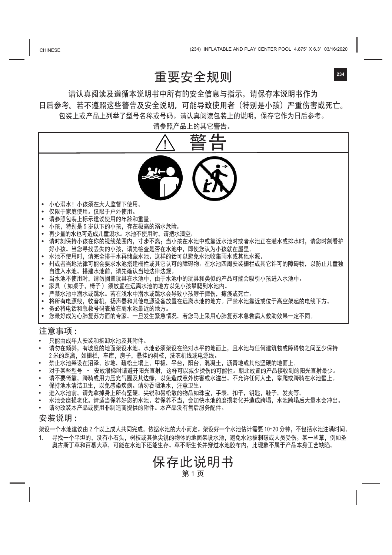**CHINESE** 

# 重要安全规则

请认真阅读及遵循本说明书中所有的安全信息与指示。请保存本说明书作为 日后参考。若不遵照这些警告及安全说明,可能导致使用者(特别是小孩)严重伤害或死亡。 包装上或产品上列举了型号名称或号码。请认真阅读包装上的说明,保存它作为日后参考。

请参照产品上的其它警告。



- 禁止水池架设在沼泽,沙地,疏松土壤上,甲板,平台,阳台,混凝土,沥青地或其他坚硬的地面上。
- 对于某些型号 安放滑梯时请避开阳光直射,这样可以减少烫伤的可能性。朝北放置的产品接收到的阳光直射最少。
- 请不要倚靠,跨骑或用力压充气圈及其边缘,以免造成意外伤害或水溢出。不允许任何人坐,攀爬或跨骑在水池壁上。
- 保持池水清洁卫生,以免感染疾病。请勿吞咽池水,注意卫生。
- 进入水池前,请先拿掉身上所有坚硬,尖锐和易松散的物品如珠宝,手表,扣子,钥匙,鞋子,发夹等。
- 水池会磨损老化。请适当保养好您的水池。若保养不当,会加快水池的磨损老化并造成跨塌,水池跨塌后大量水会冲出。
- 请勿改装本产品或使用非制造商提供的附件。本产品没有售后服务配件。

#### 安装说明 :

架设一个水池建议由 2 个以上成人共同完成,依据水池的大小而定。架设好一个水池估计需要 10~20 分钟,不包括水池注满时间。

寻找一个平坦的,没有小石头,树枝或其他尖锐的物体的地面架设水池,避免水池被刺破或人员受伤。某一些草,例如圣 奥古斯丁草和百慕大草,可能在水池下还能生存。草不断生长并穿过水池胶布内,此现象不属于产品本身工艺缺陷。